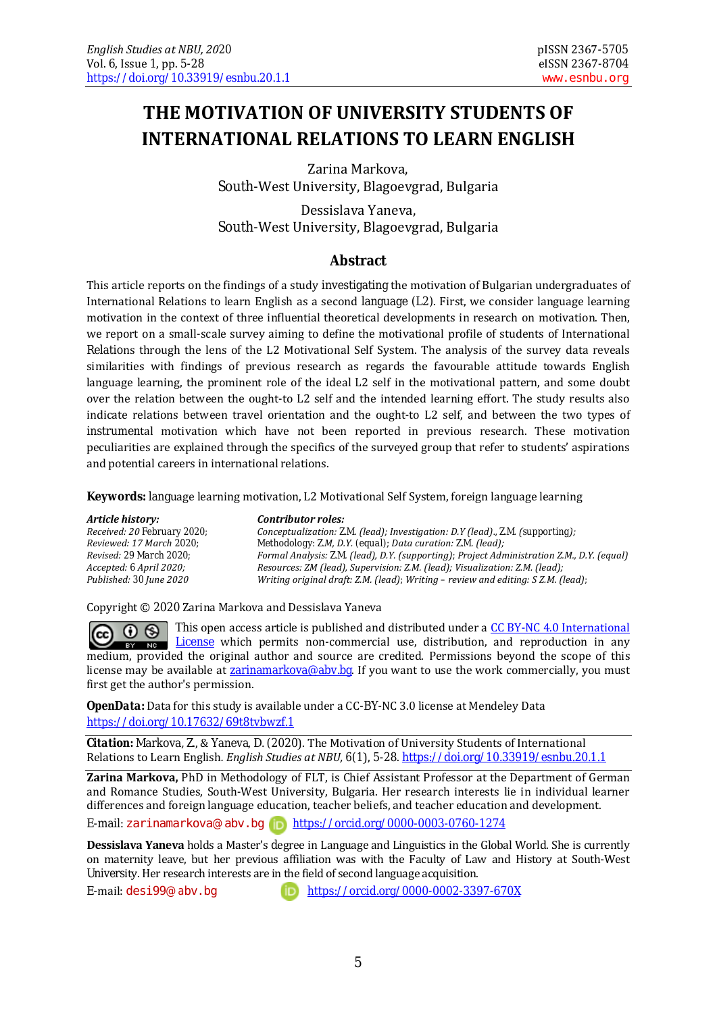# **THE MOTIVATION OF UNIVERSITY STUDENTS OF INTERNATIONAL RELATIONS TO LEARN ENGLISH**

Zarina Markova, South-West University, Blagoevgrad, Bulgaria

Dessislava Yaneva, South-West University, Blagoevgrad, Bulgaria

### **Abstract**

This article reports on the findings of a study investigating the motivation of Bulgarian undergraduates of International Relations to learn English as a second language (L2). First, we consider language learning motivation in the context of three influential theoretical developments in research on motivation. Then, we report on a small-scale survey aiming to define the motivational profile of students of International Relations through the lens of the L2 Motivational Self System. The analysis of the survey data reveals similarities with findings of previous research as regards the favourable attitude towards English language learning, the prominent role of the ideal L2 self in the motivational pattern, and some doubt over the relation between the ought-to L2 self and the intended learning effort. The study results also indicate relations between travel orientation and the ought-to L2 self, and between the two types of instrumental motivation which have not been reported in previous research. These motivation peculiarities are explained through the specifics of the surveyed group that refer to students' aspirations and potential careers in international relations.

**Keywords:** language learning motivation, L2 Motivational Self System, foreign language learning

*Article history: Contributor roles:*

*Received: 20 February 2020; Conceptualization: Z.M. (lead); Investigation: D.Y (lead)., Z.M. (supporting); Reviewed: 17 March 2020; Methodology: Z.M, D.Y. (equal); Data curation: Z.M. (lead); Revised: 29 March 2020; Formal Analysis: Z.M. (lead), D.Y. (supporting); Project Administration Z.M., D.Y. (equal) Accepted: 6 April 2020; Resources: ZM (lead), Supervision: Z.M. (lead); Visualization: Z.M. (lead); Published: 30 June 2020 Writing original draft: Z.M. (lead); Writing – review and editing: S Z.M. (lead);*

Copyright © 2020 Zarina Markova and Dessislava Yaneva

This open access article is published and distributed under a CC BY-[NC 4.0 International](http://creativecommons.org/licenses/by-nc/4.0/)  ന ഒ  $(cc)$  $\frac{1}{2}$   $\frac{1}{2}$   $\frac{1}{2}$   $\frac{1}{2}$  which permits non-commercial use, distribution, and reproduction in any medium, provided the original author and source are credited. Permissions beyond the scope of this license may be available at  $\frac{2\pi}{\text{gammaarkova}\otimes \text{abv}$ . If you want to use the work commercially, you must first get the author's permission.

*OpenData:* Data for this study is available under a CC-BY-NC 3.0 license at Mendeley Data <https://doi.org/10.17632/69t8tvbwzf.1>

*Citation:* Markova, Z., & Yaneva, D. (2020). The Motivation of University Students of International Relations to Learn English*. English Studies at NBU, 6*(1), 5-28. <https://doi.org/10.33919/esnbu.20.1.1>

**Zarina Markova,** PhD in Methodology of FLT, is Chief Assistant Professor at the Department of German and Romance Studies, South-West University, Bulgaria. Her research interests lie in individual learner differences and foreign language education, teacher beliefs, and teacher education and development.

E-mail: [zarinamarkova](mailto:zarinamarkova@abv.bg)@abv.bg <https://orcid.org/0000-0003-0760-1274>

**Dessislava Yaneva** holds a Master's degree in Language and Linguistics in the Global World. She is currently on maternity leave, but her previous affiliation was with the Faculty of Law and History at South-West University. Her research interests are in the field of second language acquisition.

E-mail: [desi99](mailto:desi99@abv.bg)@abv.bg <https://orcid.org/0000-0002-3397-670X>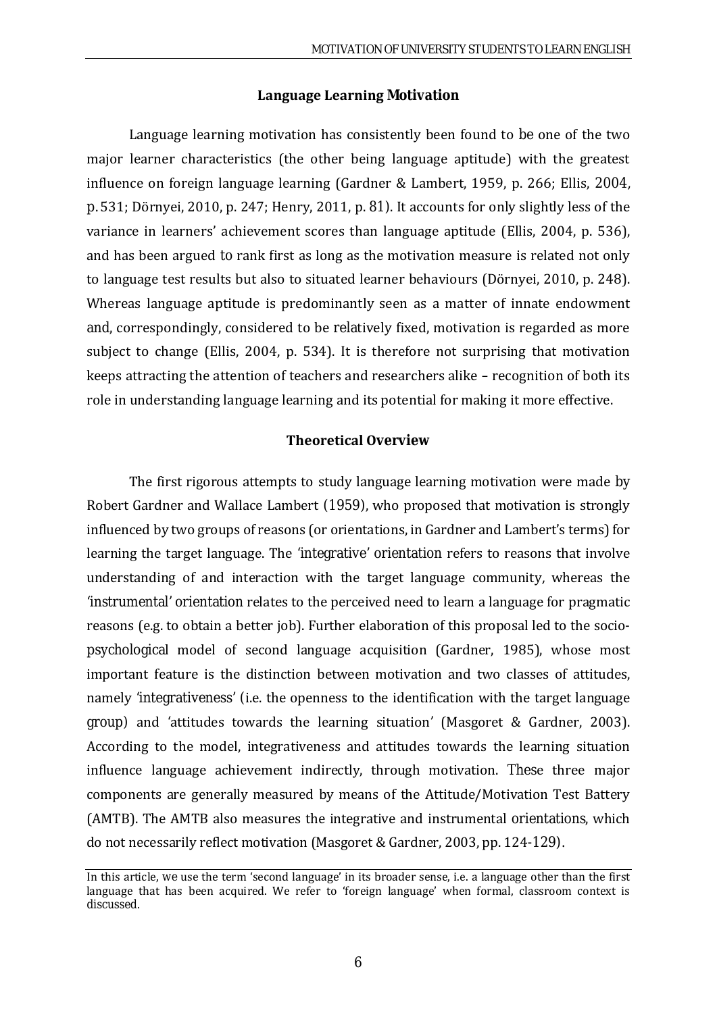#### **Language Learning Motivation**

Language learning motivation has consistently been found to be one of the two major learner characteristics (the other being language aptitude) with the greatest influence on foreign language learning (Gardner & Lambert, 1959, p. 266; Ellis, 2004, p. 531; Dörnyei, 2010, p. 247; Henry, 2011, p. 81). It accounts for only slightly less of the variance in learners' achievement scores than language aptitude (Ellis, 2004, p. 536), and has been argued to rank first as long as the motivation measure is related not only to language test results but also to situated learner behaviours (Dörnyei, 2010, p. 248). Whereas language aptitude is predominantly seen as a matter of innate endowment and, correspondingly, considered to be relatively fixed, motivation is regarded as more subject to change (Ellis, 2004, p. 534). It is therefore not surprising that motivation keeps attracting the attention of teachers and researchers alike – recognition of both its role in understanding language learning and its potential for making it more effective.

#### **Theoretical Overview**

The first rigorous attempts to study language learning motivation were made by Robert Gardner and Wallace Lambert (1959), who proposed that motivation is strongly influenced by two groups of reasons (or orientations, in Gardner and Lambert's terms) for learning the target language. The 'integrative' orientation refers to reasons that involve understanding of and interaction with the target language community, whereas the 'instrumental' orientation relates to the perceived need to learn a language for pragmatic reasons (e.g. to obtain a better job). Further elaboration of this proposal led to the sociopsychological model of second language acquisition (Gardner, 1985), whose most important feature is the distinction between motivation and two classes of attitudes, namely 'integrativeness' (i.e. the openness to the identification with the target language group) and 'attitudes towards the learning situation' (Masgoret & Gardner, 2003). According to the model, integrativeness and attitudes towards the learning situation influence language achievement indirectly, through motivation. These three major components are generally measured by means of the Attitude/Motivation Test Battery (AMTB). The AMTB also measures the integrative and instrumental orientations, which do not necessarily reflect motivation (Masgoret & Gardner, 2003, pp. 124-129).

In this article, we use the term 'second language' in its broader sense, i.e. a language other than the first language that has been acquired. We refer to 'foreign language' when formal, classroom context is discussed.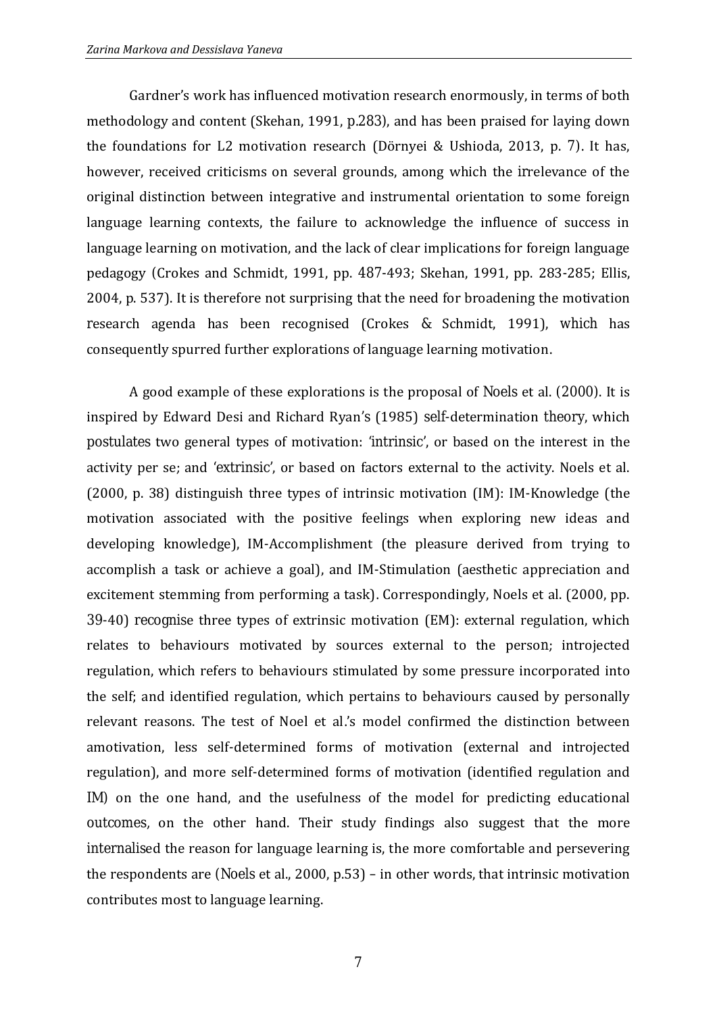Gardner's work has influenced motivation research enormously, in terms of both methodology and content (Skehan, 1991, p.283), and has been praised for laying down the foundations for L2 motivation research (Dörnyei & Ushioda, 2013, p. 7). It has, however, received criticisms on several grounds, among which the irrelevance of the original distinction between integrative and instrumental orientation to some foreign language learning contexts, the failure to acknowledge the influence of success in language learning on motivation, and the lack of clear implications for foreign language pedagogy (Crokes and Schmidt, 1991, pp. 487-493; Skehan, 1991, pp. 283-285; Ellis, 2004, p. 537). It is therefore not surprising that the need for broadening the motivation research agenda has been recognised (Crokes & Schmidt, 1991), which has consequently spurred further explorations of language learning motivation.

A good example of these explorations is the proposal of Noels et al. (2000). It is inspired by Edward Desi and Richard Ryan's (1985) self-determination theory, which postulates two general types of motivation: 'intrinsic', or based on the interest in the activity per se; and 'extrinsic', or based on factors external to the activity. Noels et al. (2000, p. 38) distinguish three types of intrinsic motivation (IM): IM-Knowledge (the motivation associated with the positive feelings when exploring new ideas and developing knowledge), IM-Accomplishment (the pleasure derived from trying to accomplish a task or achieve a goal), and IM-Stimulation (aesthetic appreciation and excitement stemming from performing a task). Correspondingly, Noels et al. (2000, pp. 39-40) recognise three types of extrinsic motivation (EM): external regulation, which relates to behaviours motivated by sources external to the person; introjected regulation, which refers to behaviours stimulated by some pressure incorporated into the self; and identified regulation, which pertains to behaviours caused by personally relevant reasons. The test of Noel et al.'s model confirmed the distinction between amotivation, less self-determined forms of motivation (external and introjected regulation), and more self-determined forms of motivation (identified regulation and IM) on the one hand, and the usefulness of the model for predicting educational outcomes, on the other hand. Their study findings also suggest that the more internalised the reason for language learning is, the more comfortable and persevering the respondents are (Noels et al., 2000, p.53) – in other words, that intrinsic motivation contributes most to language learning.

7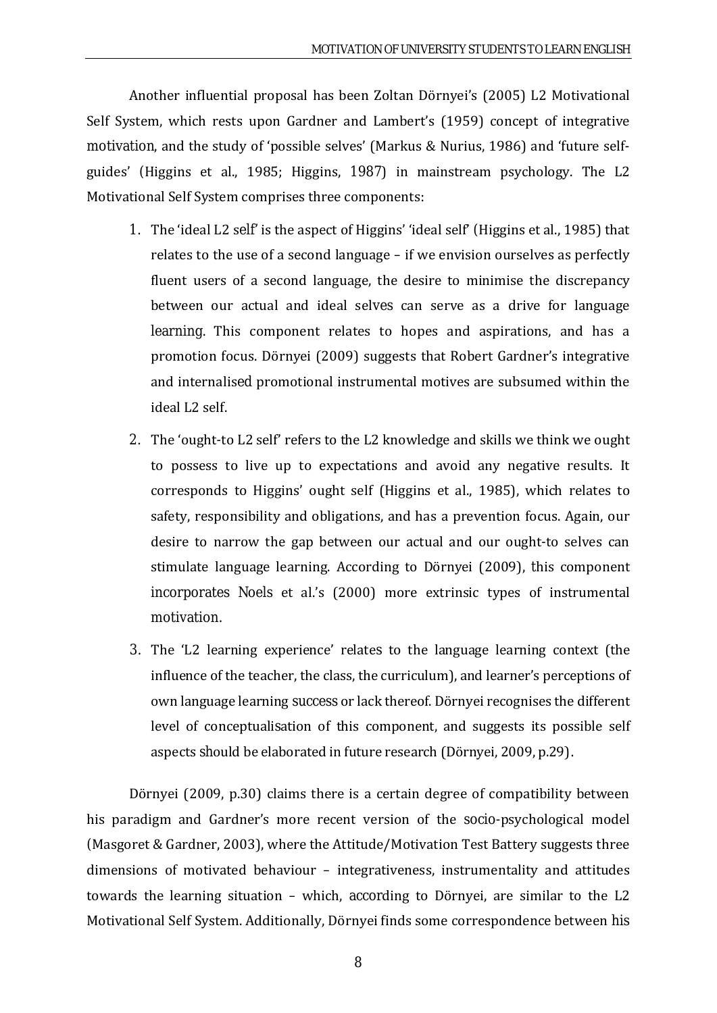Another influential proposal has been Zoltan Dörnyei's (2005) L2 Motivational Self System, which rests upon Gardner and Lambert's (1959) concept of integrative motivation, and the study of 'possible selves' (Markus & Nurius, 1986) and 'future selfguides' (Higgins et al., 1985; Higgins, 1987) in mainstream psychology. Тhe L2 Motivational Self System comprises three components:

- 1. The 'ideal L2 self' is the aspect of Higgins' 'ideal self' (Higgins et al., 1985) that relates to the use of a second language – if we envision ourselves as perfectly fluent users of a second language, the desire to minimise the discrepancy between our actual and ideal selves can serve as a drive for language learning. This component relates to hopes and aspirations, and has a promotion focus. Dörnyei (2009) suggests that Robert Gardner's integrative and internalised promotional instrumental motives are subsumed within the ideal L2 self.
- 2. The 'ought-to L2 self' refers to the L2 knowledge and skills we think we ought to possess to live up to expectations and avoid any negative results. It corresponds to Higgins' ought self (Higgins et al., 1985), which relates to safety, responsibility and obligations, and has a prevention focus. Again, our desire to narrow the gap between our actual and our ought-to selves can stimulate language learning. According to Dörnyei (2009), this component incorporates Noels et al.'s (2000) more extrinsic types of instrumental motivation.
- 3. The 'L2 learning experience' relates to the language learning context (the influence of the teacher, the class, the curriculum), and learner's perceptions of own language learning success or lack thereof. Dörnyei recognises the different level of conceptualisation of this component, and suggests its possible self aspects should be elaborated in future research (Dörnyei, 2009, p.29).

Dörnyei (2009, p.30) claims there is a certain degree of compatibility between his paradigm and Gardner's more recent version of the socio-psychological model (Masgoret & Gardner, 2003), where the Attitude/Motivation Test Battery suggests three dimensions of motivated behaviour – integrativeness, instrumentality and attitudes towards the learning situation – which, according to Dörnyei, are similar to the L2 Motivational Self System. Additionally, Dörnyei finds some correspondence between his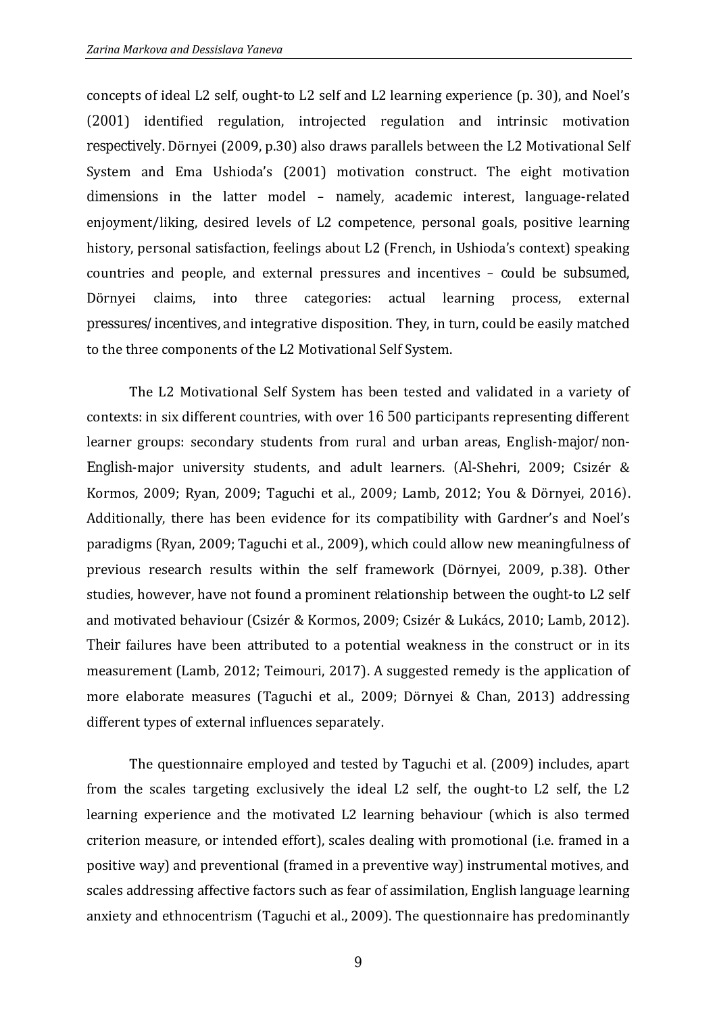concepts of ideal L2 self, ought-to L2 self and L2 learning experience (p. 30), and Noel's (2001) identified regulation, introjected regulation and intrinsic motivation respectively. Dörnyei (2009, p.30) also draws parallels between the L2 Motivational Self System and Ema Ushioda's (2001) motivation construct. The eight motivation dimensions in the latter model – namely, academic interest, language-related enjoyment/liking, desired levels of L2 competence, personal goals, positive learning history, personal satisfaction, feelings about L2 (French, in Ushioda's context) speaking countries and people, and external pressures and incentives – could be subsumed, Dörnyei claims, into three categories: actual learning process, external pressures/incentives, and integrative disposition. They, in turn, could be easily matched to the three components of the L2 Motivational Self System.

The L2 Motivational Self System has been tested and validated in a variety of contexts: in six different countries, with over 16 500 participants representing different learner groups: secondary students from rural and urban areas, English-major/non-English-major university students, and adult learners. (Al-Shehri, 2009; Csizér & Kormos, 2009; Ryan, 2009; Taguchi et al., 2009; Lamb, 2012; You & Dörnyei, 2016). Additionally, there has been evidence for its compatibility with Gardner's and Noel's paradigms (Ryan, 2009; Taguchi et al., 2009), which could allow new meaningfulness of previous research results within the self framework (Dörnyei, 2009, p.38). Other studies, however, have not found a prominent relationship between the ought-to L2 self and motivated behaviour (Csizér & Kormos, 2009; Csizér & Lukács, 2010; Lamb, 2012). Their failures have been attributed to a potential weakness in the construct or in its measurement (Lamb, 2012; Teimouri, 2017). A suggested remedy is the application of more elaborate measures (Taguchi et al., 2009; Dörnyei & Chan, 2013) addressing different types of external influences separately.

The questionnaire employed and tested by Taguchi et al. (2009) includes, apart from the scales targeting exclusively the ideal L2 self, the ought-to L2 self, the L2 learning experience and the motivated L2 learning behaviour (which is also termed criterion measure, or intended effort), scales dealing with promotional (i.e. framed in a positive way) and preventional (framed in a preventive way) instrumental motives, and scales addressing affective factors such as fear of assimilation, English language learning anxiety and ethnocentrism (Taguchi et al., 2009). The questionnaire has predominantly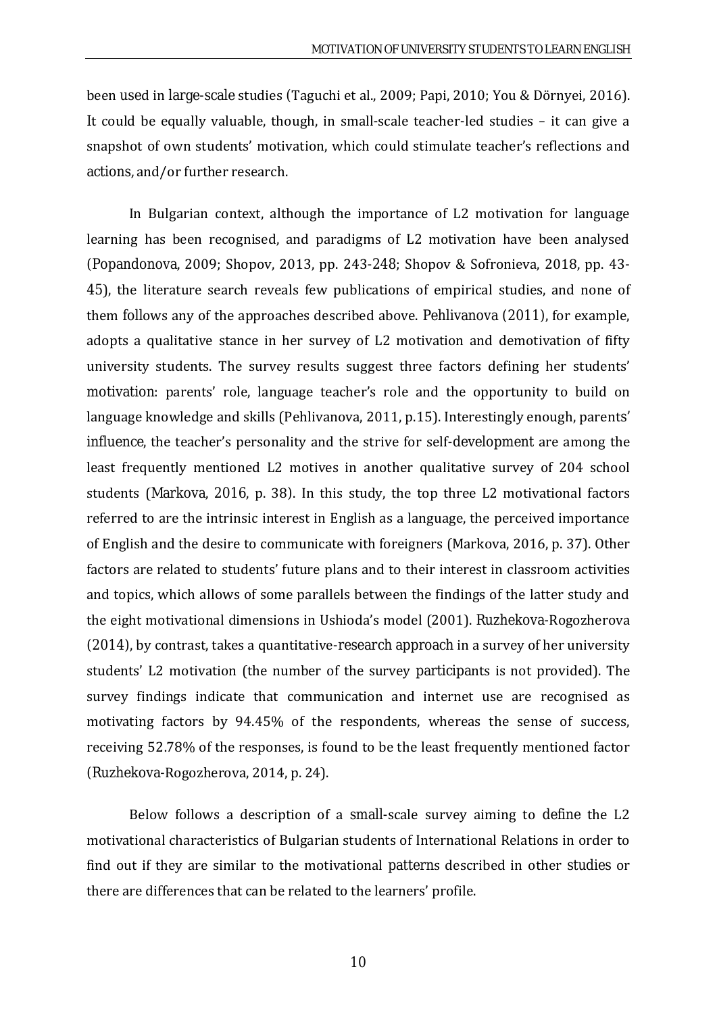been used in large-scale studies (Taguchi et al., 2009; Papi, 2010; You & Dörnyei, 2016). It could be equally valuable, though, in small-scale teacher-led studies – it can give a snapshot of own students' motivation, which could stimulate teacher's reflections and actions, and/or further research.

In Bulgarian context, although the importance of L2 motivation for language learning has been recognised, and paradigms of L2 motivation have been analysed (Popandonova, 2009; Shopov, 2013, pp. 243-248; Shopov & Sofronieva, 2018, pp. 43- 45), the literature search reveals few publications of empirical studies, and none of them follows any of the approaches described above. Pehlivanova (2011), for example, adopts a qualitative stance in her survey of L2 motivation and demotivation of fifty university students. The survey results suggest three factors defining her students' motivation: parents' role, language teacher's role and the opportunity to build on language knowledge and skills (Pehlivanova, 2011, p.15). Interestingly enough, parents' influence, the teacher's personality and the strive for self-development are among the least frequently mentioned L2 motives in another qualitative survey of 204 school students (Markova, 2016, p. 38). In this study, the top three L2 motivational factors referred to are the intrinsic interest in English as a language, the perceived importance of English and the desire to communicate with foreigners (Markova, 2016, p. 37). Other factors are related to students' future plans and to their interest in classroom activities and topics, which allows of some parallels between the findings of the latter study and the eight motivational dimensions in Ushioda's model (2001). Ruzhekova-Rogozherova (2014), by contrast, takes a quantitative-research approach in a survey of her university students' L2 motivation (the number of the survey participants is not provided). The survey findings indicate that communication and internet use are recognised as motivating factors by 94.45% of the respondents, whereas the sense of success, receiving 52.78% of the responses, is found to be the least frequently mentioned factor (Ruzhekova-Rogozherova, 2014, p. 24).

Below follows a description of a small-scale survey aiming to define the L2 motivational characteristics of Bulgarian students of International Relations in order to find out if they are similar to the motivational patterns described in other studies or there are differences that can be related to the learners' profile.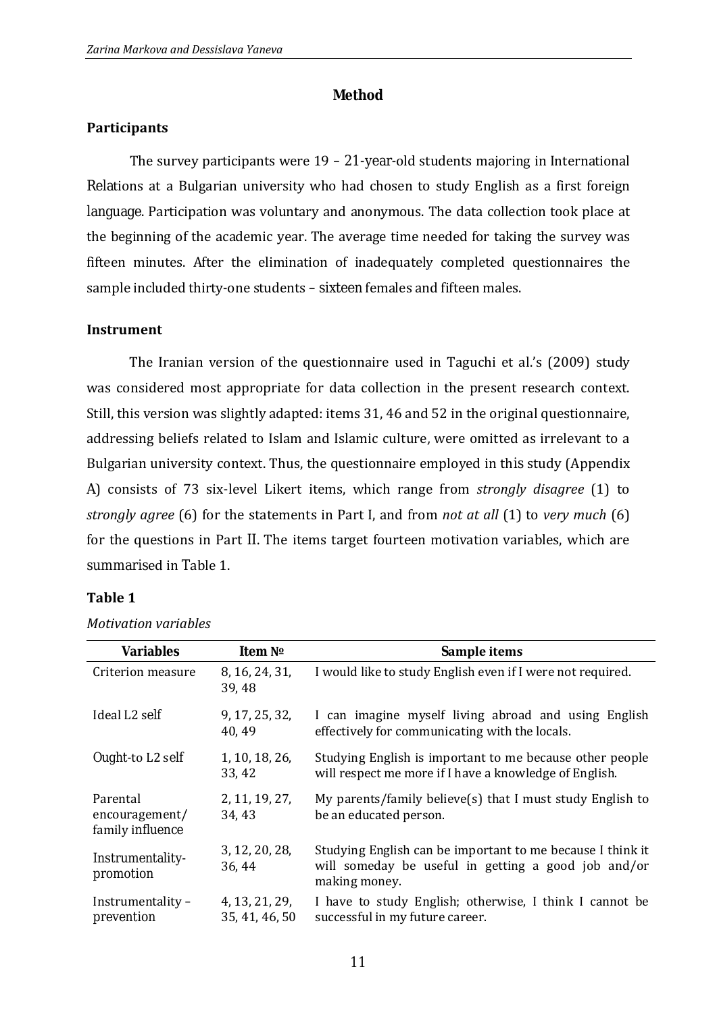#### **Method**

#### **Participants**

The survey participants were  $19 - 21$ -year-old students majoring in International Relations at a Bulgarian university who had chosen to study English as a first foreign language. Participation was voluntary and anonymous. The data collection took place at the beginning of the academic year. The average time needed for taking the survey was fifteen minutes. After the elimination of inadequately completed questionnaires the sample included thirty-one students – sixteen females and fifteen males.

#### **Instrument**

The Iranian version of the questionnaire used in Taguchi et al.'s (2009) study was considered most appropriate for data collection in the present research context. Still, this version was slightly adapted: items 31, 46 and 52 in the original questionnaire, addressing beliefs related to Islam and Islamic culture, were omitted as irrelevant to a Bulgarian university context. Thus, the questionnaire employed in this study (Appendix A) consists of 73 six-level Likert items, which range from *strongly disagree* (1) to *strongly agree* (6) for the statements in Part I, and from *not at all* (1) to *very much* (6) for the questions in Part II. The items target fourteen motivation variables, which are summarised in Table 1.

#### **Table 1**

| <b>Variables</b>                               | Item No                          | <b>Sample items</b>                                                                                                                |
|------------------------------------------------|----------------------------------|------------------------------------------------------------------------------------------------------------------------------------|
| Criterion measure                              | 8, 16, 24, 31,<br>39,48          | I would like to study English even if I were not required.                                                                         |
| Ideal L <sub>2</sub> self                      | 9, 17, 25, 32,<br>40, 49         | I can imagine myself living abroad and using English<br>effectively for communicating with the locals.                             |
| Ought-to L2 self                               | 1, 10, 18, 26,<br>33, 42         | Studying English is important to me because other people<br>will respect me more if I have a knowledge of English.                 |
| Parental<br>encouragement/<br>family influence | 2, 11, 19, 27,<br>34, 43         | My parents/family believe(s) that I must study English to<br>be an educated person.                                                |
| Instrumentality-<br>promotion                  | 3, 12, 20, 28,<br>36, 44         | Studying English can be important to me because I think it<br>will someday be useful in getting a good job and/or<br>making money. |
| Instrumentality -<br>prevention                | 4, 13, 21, 29,<br>35, 41, 46, 50 | I have to study English; otherwise, I think I cannot be<br>successful in my future career.                                         |

*Motivation variables*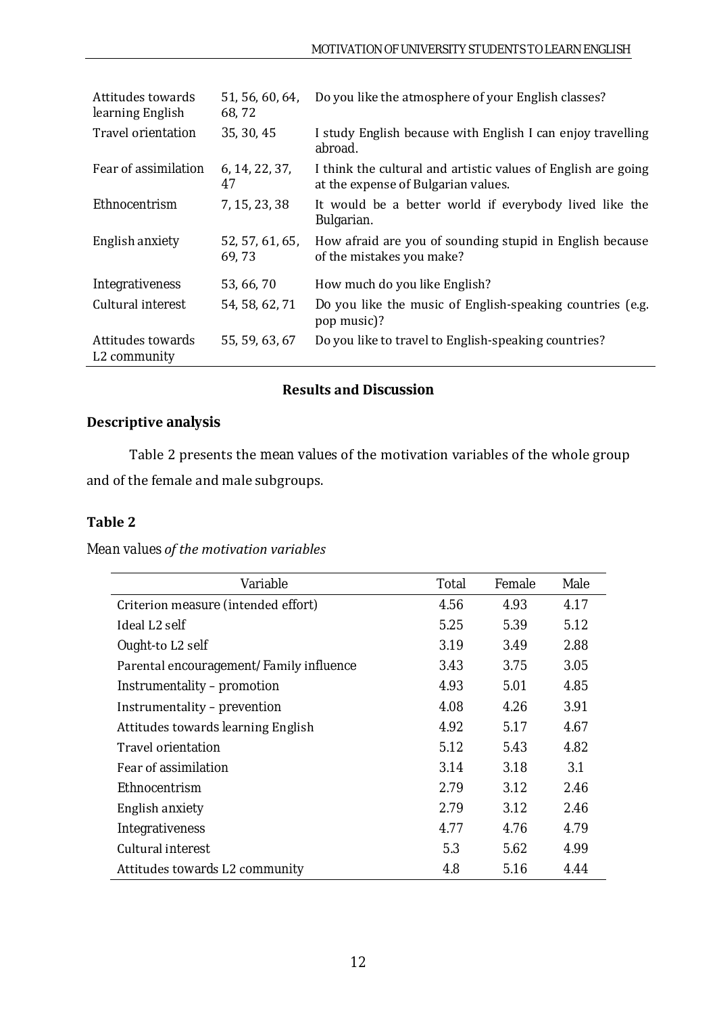| Attitudes towards<br>learning English         | 51, 56, 60, 64,<br>68,72 | Do you like the atmosphere of your English classes?                                                  |
|-----------------------------------------------|--------------------------|------------------------------------------------------------------------------------------------------|
| Travel orientation                            | 35, 30, 45               | I study English because with English I can enjoy travelling<br>abroad.                               |
| Fear of assimilation                          | 6, 14, 22, 37,<br>47     | I think the cultural and artistic values of English are going<br>at the expense of Bulgarian values. |
| Ethnocentrism                                 | 7, 15, 23, 38            | It would be a better world if everybody lived like the<br>Bulgarian.                                 |
| English anxiety                               | 52, 57, 61, 65,<br>69,73 | How afraid are you of sounding stupid in English because<br>of the mistakes you make?                |
| Integrativeness                               | 53, 66, 70               | How much do you like English?                                                                        |
| Cultural interest                             | 54, 58, 62, 71           | Do you like the music of English-speaking countries (e.g.<br>pop music)?                             |
| Attitudes towards<br>L <sub>2</sub> community | 55, 59, 63, 67           | Do you like to travel to English-speaking countries?                                                 |

# **Results and Discussion**

# **Descriptive analysis**

Table 2 presents the mean values of the motivation variables of the whole group and of the female and male subgroups.

### **Table 2**

# *Mean values of the motivation variables*

| Variable                                | <b>Total</b> | Female | Male |
|-----------------------------------------|--------------|--------|------|
| Criterion measure (intended effort)     | 4.56         | 4.93   | 4.17 |
| Ideal L <sub>2</sub> self               | 5.25         | 5.39   | 5.12 |
| Ought-to L2 self                        | 3.19         | 3.49   | 2.88 |
| Parental encouragement/Family influence | 3.43         | 3.75   | 3.05 |
| Instrumentality - promotion             | 4.93         | 5.01   | 4.85 |
| Instrumentality - prevention            | 4.08         | 4.26   | 3.91 |
| Attitudes towards learning English      | 4.92         | 5.17   | 4.67 |
| <b>Travel orientation</b>               | 5.12         | 5.43   | 4.82 |
| Fear of assimilation                    | 3.14         | 3.18   | 3.1  |
| Ethnocentrism                           | 2.79         | 3.12   | 2.46 |
| English anxiety                         | 2.79         | 3.12   | 2.46 |
| Integrativeness                         | 4.77         | 4.76   | 4.79 |
| Cultural interest                       | 5.3          | 5.62   | 4.99 |
| Attitudes towards L2 community          | 4.8          | 5.16   | 4.44 |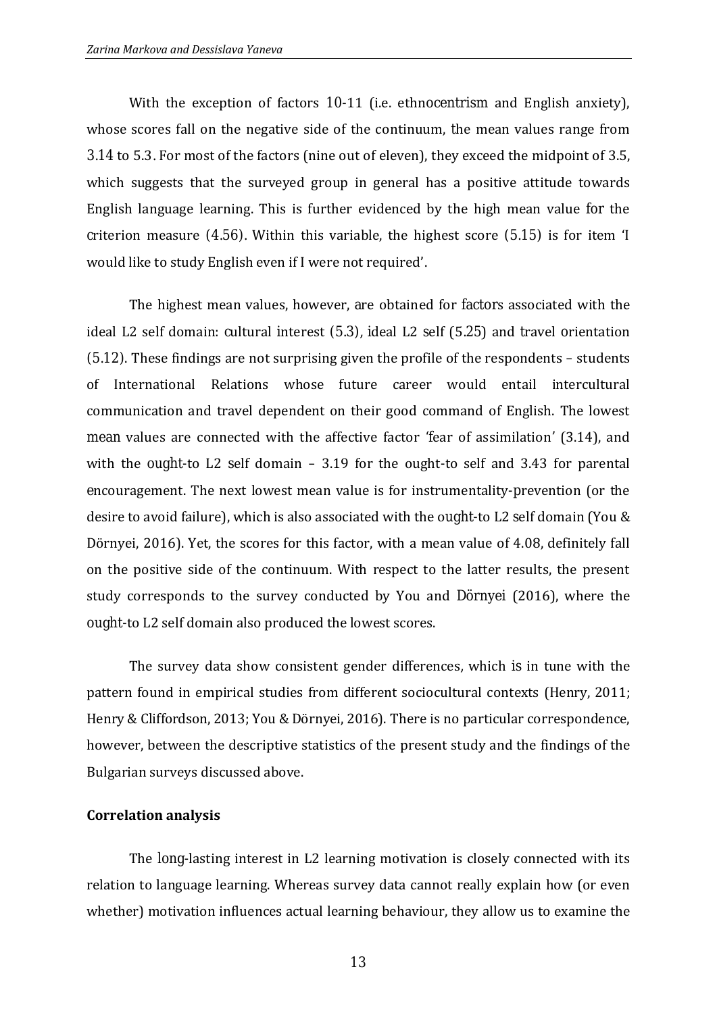With the exception of factors 10-11 (i.e. ethnocentrism and English anxiety), whose scores fall on the negative side of the continuum, the mean values range from 3.14 to 5.3. For most of the factors (nine out of eleven), they exceed the midpoint of 3.5, which suggests that the surveyed group in general has a positive attitude towards English language learning. This is further evidenced by the high mean value for the criterion measure (4.56). Within this variable, the highest score (5.15) is for item 'I would like to study English even if I were not required'.

The highest mean values, however, are obtained for factors associated with the ideal L2 self domain: cultural interest (5.3), ideal L2 self (5.25) and travel orientation (5.12). These findings are not surprising given the profile of the respondents – students of International Relations whose future career would entail intercultural communication and travel dependent on their good command of English. The lowest mean values are connected with the affective factor 'fear of assimilation' (3.14), and with the ought-to L2 self domain – 3.19 for the ought-to self and 3.43 for parental encouragement. The next lowest mean value is for instrumentality-prevention (or the desire to avoid failure), which is also associated with the ought-to L2 self domain (You & Dörnyei, 2016). Yet, the scores for this factor, with a mean value of 4.08, definitely fall on the positive side of the continuum. With respect to the latter results, the present study corresponds to the survey conducted by You and Dörnyei (2016), where the ought-to L2 self domain also produced the lowest scores.

The survey data show consistent gender differences, which is in tune with the pattern found in empirical studies from different sociocultural contexts (Henry, 2011; Henry & Cliffordson, 2013; You & Dörnyei, 2016). There is no particular correspondence, however, between the descriptive statistics of the present study and the findings of the Bulgarian surveys discussed above.

#### **Correlation analysis**

The long-lasting interest in L2 learning motivation is closely connected with its relation to language learning. Whereas survey data cannot really explain how (or even whether) motivation influences actual learning behaviour, they allow us to examine the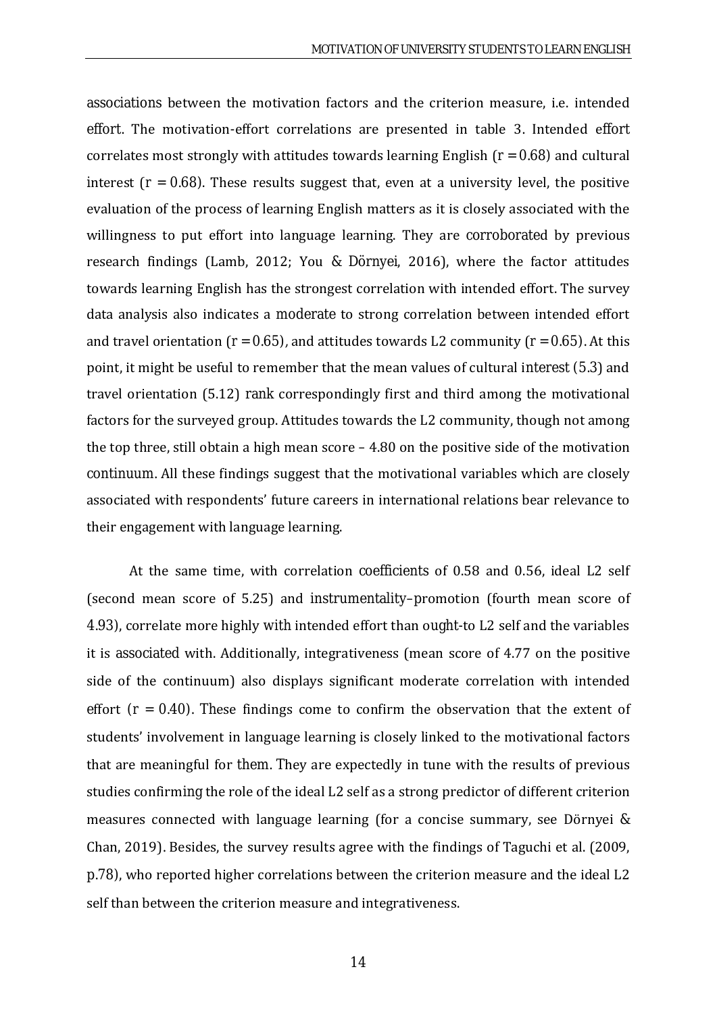associations between the motivation factors and the criterion measure, i.e. intended effort. The motivation-effort correlations are presented in table 3. Intended effort correlates most strongly with attitudes towards learning English (*r* = 0.68) and cultural interest  $(r = 0.68)$ . These results suggest that, even at a university level, the positive evaluation of the process of learning English matters as it is closely associated with the willingness to put effort into language learning. They are corroborated by previous research findings (Lamb, 2012; You & Dörnyei, 2016), where the factor attitudes towards learning English has the strongest correlation with intended effort. The survey data analysis also indicates a moderate to strong correlation between intended effort and travel orientation ( $r = 0.65$ ), and attitudes towards L2 community ( $r = 0.65$ ). At this point, it might be useful to remember that the mean values of cultural interest (5.3) and travel orientation (5.12) rank correspondingly first and third among the motivational factors for the surveyed group. Attitudes towards the L2 community, though not among the top three, still obtain a high mean score – 4.80 on the positive side of the motivation continuum. All these findings suggest that the motivational variables which are closely associated with respondents' future careers in international relations bear relevance to their engagement with language learning.

At the same time, with correlation coefficients of 0.58 and 0.56, ideal L2 self (second mean score of 5.25) and instrumentality–promotion (fourth mean score of 4.93), correlate more highly with intended effort than ought-to L2 self and the variables it is associated with. Additionally, integrativeness (mean score of 4.77 on the positive side of the continuum) also displays significant moderate correlation with intended effort  $(r = 0.40)$ . These findings come to confirm the observation that the extent of students' involvement in language learning is closely linked to the motivational factors that are meaningful for them. They are expectedly in tune with the results of previous studies confirming the role of the ideal L2 self as a strong predictor of different criterion measures connected with language learning (for a concise summary, see Dörnyei & Chan, 2019). Besides, the survey results agree with the findings of Taguchi et al. (2009, p.78), who reported higher correlations between the criterion measure and the ideal L2 self than between the criterion measure and integrativeness.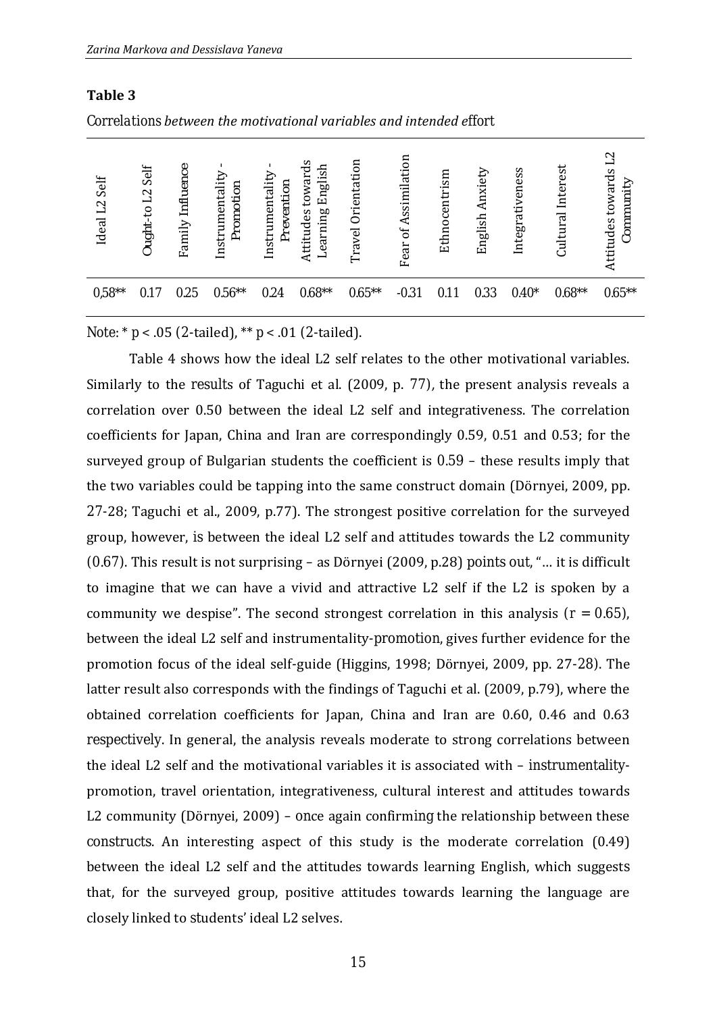**Table 3**

|                           | Correlations between the motivational variables and intended effort |                  |                              |                               |                                          |                    |                                  |               |                    |                 |                      |                                                |
|---------------------------|---------------------------------------------------------------------|------------------|------------------------------|-------------------------------|------------------------------------------|--------------------|----------------------------------|---------------|--------------------|-----------------|----------------------|------------------------------------------------|
| Ideal L <sub>2</sub> Self | Ought-to L2 Self                                                    | Family Influence | Instrumentality<br>Promotion | Instrumentality<br>Prevention | towards<br>Learning English<br>Attitudes | Travel Orientation | Assimilation<br>$\sigma$<br>Fear | Ethnocentrism | Anxiety<br>English | Integrativeness | Interest<br>Cultural | $\mathbb{Z}$<br>Attitudes towards<br>Community |
| $0.58**$                  | 0.17                                                                | 0.25             | $0.56**$                     | 0.24                          | $0.68**$                                 | $0.65**$           | $-0.31$                          | 0.11          | 0.33               | $0.40*$         | $0.68**$             | $0.65***$                                      |

*Note:* \* *p* < .05 (2-tailed), \*\* *p* < .01 (2-tailed).

Table 4 shows how the ideal L2 self relates to the other motivational variables. Similarly to the results of Taguchi et al. (2009, p. 77), the present analysis reveals a correlation over 0.50 between the ideal L2 self and integrativeness. The correlation coefficients for Japan, China and Iran are correspondingly 0.59, 0.51 and 0.53; for the surveyed group of Bulgarian students the coefficient is 0.59 – these results imply that the two variables could be tapping into the same construct domain (Dörnyei, 2009, pp. 27-28; Taguchi et al., 2009, p.77). The strongest positive correlation for the surveyed group, however, is between the ideal L2 self and attitudes towards the L2 community (0.67). This result is not surprising – as Dörnyei (2009, p.28) points out, "… it is difficult to imagine that we can have a vivid and attractive L2 self if the L2 is spoken by a community we despise". The second strongest correlation in this analysis  $(r = 0.65)$ , between the ideal L2 self and instrumentality-promotion, gives further evidence for the promotion focus of the ideal self-guide (Higgins, 1998; Dörnyei, 2009, pp. 27-28). The latter result also corresponds with the findings of Taguchi et al. (2009, p.79), where the obtained correlation coefficients for Japan, China and Iran are 0.60, 0.46 and 0.63 respectively. In general, the analysis reveals moderate to strong correlations between the ideal L2 self and the motivational variables it is associated with – instrumentalitypromotion, travel orientation, integrativeness, cultural interest and attitudes towards L2 community (Dörnyei, 2009) – once again confirming the relationship between these constructs. An interesting aspect of this study is the moderate correlation (0.49) between the ideal L2 self and the attitudes towards learning English, which suggests that, for the surveyed group, positive attitudes towards learning the language are closely linked to students' ideal L2 selves.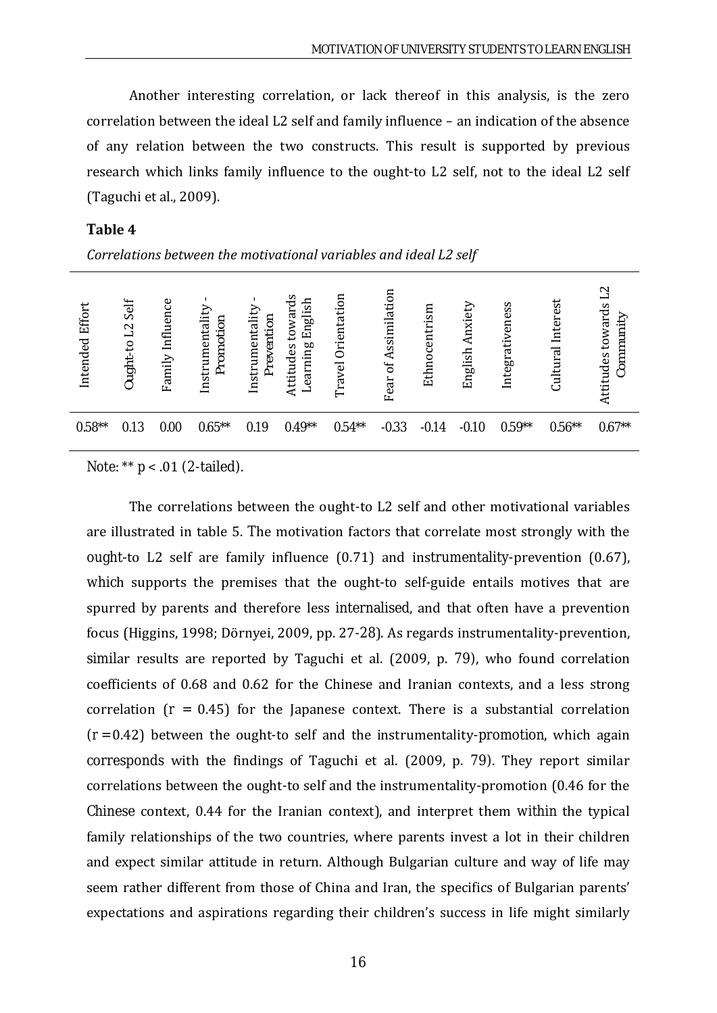Another interesting correlation, or lack thereof in this analysis, is the zero correlation between the ideal L2 self and family influence – an indication of the absence of any relation between the two constructs. This result is supported by previous research which links family influence to the ought-to L2 self, not to the ideal L2 self (Taguchi et al., 2009).

#### **Table 4**

*Correlations between the motivational variables and ideal L2 self* 

| Attitudes<br>Travel<br>Fear                                                                                                    | Effort<br>Intended | Family Influence<br>Ought-to L2 Self | Instrumentali<br>Promotion | towards<br>English<br>Instrumentali<br>Prevention<br>Learning<br>Attitudes | Orientation | БO<br>of Assimilati | Ethnocentrism | Anxiety<br>English | Integrativeness | Interest<br>Cultural | $\mathbb{Z}$<br>towards<br>Community |
|--------------------------------------------------------------------------------------------------------------------------------|--------------------|--------------------------------------|----------------------------|----------------------------------------------------------------------------|-------------|---------------------|---------------|--------------------|-----------------|----------------------|--------------------------------------|
| $0.58**$<br>$0.54**$<br>$0.56**$<br>$0.65***$<br>$0.49**$<br>$0.59**$<br>$-0.33$<br>0.13<br>0.19<br>0.00<br>$-0.14$<br>$-0.10$ |                    |                                      |                            |                                                                            |             |                     |               |                    |                 |                      | $0.67**$                             |

*Note:* \*\* *p* < .01 (2-tailed).

The correlations between the ought-to L2 self and other motivational variables are illustrated in table 5. The motivation factors that correlate most strongly with the ought-to L2 self are family influence (0.71) and instrumentality-prevention (0.67), which supports the premises that the ought-to self-guide entails motives that are spurred by parents and therefore less internalised, and that often have a prevention focus (Higgins, 1998; Dörnyei, 2009, pp. 27-28). As regards instrumentality-prevention, similar results are reported by Taguchi et al. (2009, p. 79), who found correlation coefficients of 0.68 and 0.62 for the Chinese and Iranian contexts, and a less strong correlation  $(r = 0.45)$  for the Japanese context. There is a substantial correlation  $(r = 0.42)$  between the ought-to self and the instrumentality-promotion, which again corresponds with the findings of Taguchi et al. (2009, p. 79). They report similar correlations between the ought-to self and the instrumentality-promotion (0.46 for the Chinese context, 0.44 for the Iranian context), and interpret them within the typical family relationships of the two countries, where parents invest a lot in their children and expect similar attitude in return. Although Bulgarian culture and way of life may seem rather different from those of China and Iran, the specifics of Bulgarian parents' expectations and aspirations regarding their children's success in life might similarly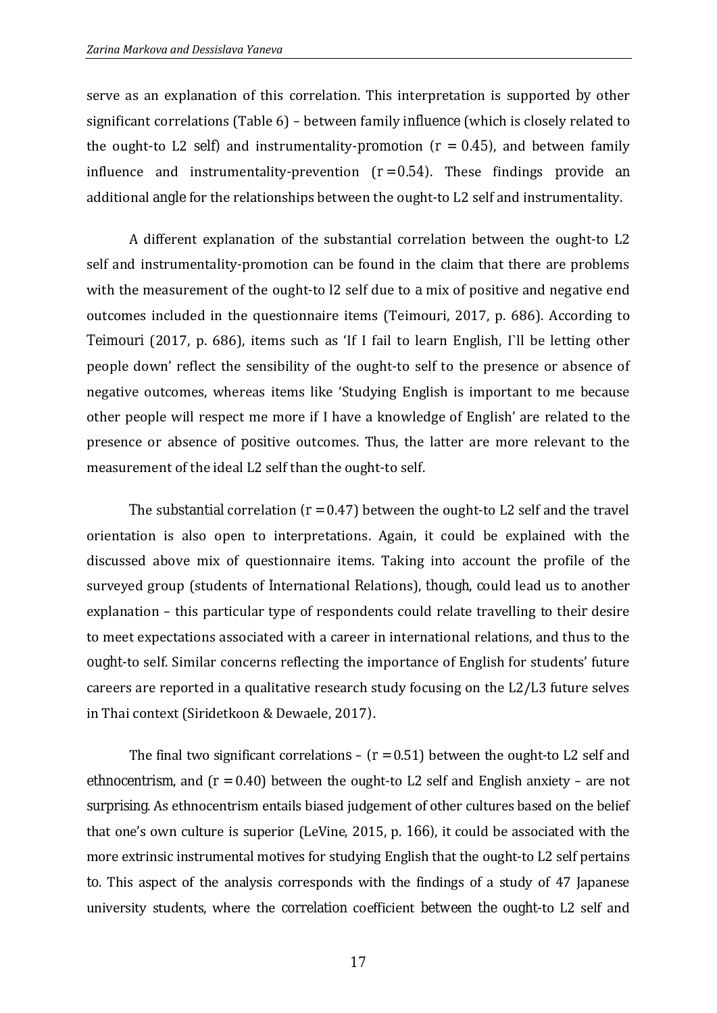serve as an explanation of this correlation. This interpretation is supported by other significant correlations (Table 6) – between family influence (which is closely related to the ought-to L2 self) and instrumentality-promotion  $(r = 0.45)$ , and between family influence and instrumentality-prevention  $(r=0.54)$ . These findings provide an additional angle for the relationships between the ought-to L2 self and instrumentality.

A different explanation of the substantial correlation between the ought-to L2 self and instrumentality-promotion can be found in the claim that there are problems with the measurement of the ought-to 12 self due to a mix of positive and negative end outcomes included in the questionnaire items (Teimouri, 2017, p. 686). According to Teimouri (2017, p. 686), items such as 'If I fail to learn English, I`ll be letting other people down' reflect the sensibility of the ought-to self to the presence or absence of negative outcomes, whereas items like 'Studying English is important to me because other people will respect me more if I have a knowledge of English' are related to the presence or absence of positive outcomes. Thus, the latter are more relevant to the measurement of the ideal L2 self than the ought-to self.

The substantial correlation  $(r = 0.47)$  between the ought-to L2 self and the travel orientation is also open to interpretations. Again, it could be explained with the discussed above mix of questionnaire items. Taking into account the profile of the surveyed group (students of International Relations), though, could lead us to another explanation – this particular type of respondents could relate travelling to their desire to meet expectations associated with a career in international relations, and thus to the ought-to self. Similar concerns reflecting the importance of English for students' future careers are reported in a qualitative research study focusing on the L2/L3 future selves in Thai context (Siridetkoon & Dewaele, 2017).

The final two significant correlations  $(r = 0.51)$  between the ought-to L2 self and ethnocentrism, and (*r* = 0.40) between the ought-to L2 self and English anxiety – are not surprising. As ethnocentrism entails biased judgement of other cultures based on the belief that one's own culture is superior (LeVine, 2015, p. 166), it could be associated with the more extrinsic instrumental motives for studying English that the ought-to L2 self pertains to. This aspect of the analysis corresponds with the findings of a study of 47 Japanese university students, where the correlation coefficient between the ought-to L2 self and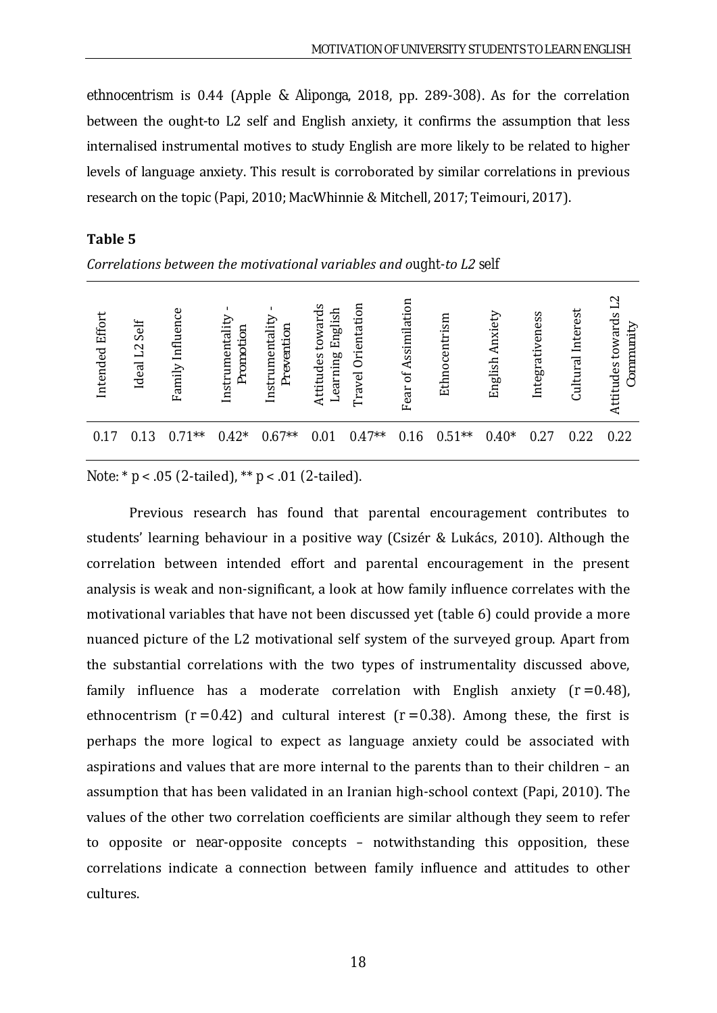ethnocentrism is 0.44 (Apple & Aliponga, 2018, pp. 289-308). As for the correlation between the ought-to L2 self and English anxiety, it confirms the assumption that less internalised instrumental motives to study English are more likely to be related to higher levels of language anxiety. This result is corroborated by similar correlations in previous research on the topic (Papi, 2010; MacWhinnie & Mitchell, 2017; Teimouri, 2017).

|                 |                              |                     |                              |                               |                                          |                       | ັ                    |               |                    |                 |                      |                                                |
|-----------------|------------------------------|---------------------|------------------------------|-------------------------------|------------------------------------------|-----------------------|----------------------|---------------|--------------------|-----------------|----------------------|------------------------------------------------|
| Intended Effort | Self<br>Ideal L <sub>2</sub> | Influence<br>Family | Instrumentality<br>Promotion | Instrumentality<br>Prevention | towards<br>Learning English<br>Attitudes | Orientation<br>Travel | Fear of Assimilation | Ethnocentrism | Anxiety<br>English | Integrativeness | Interest<br>Cultural | $\mathbf{L}$<br>Attitudes towards<br>Community |
| 0.17            | 0.13                         | $0.71**$            | $0.42*$                      | $0.67**$                      | 0.01                                     | $0.47**$              | 0.16                 | $0.51**$      | $0.40*$            | 0.27            | 0.22                 | 0.22                                           |
|                 |                              |                     |                              |                               |                                          |                       |                      |               |                    |                 |                      |                                                |

#### **Table 5**

*Correlations between the motivational variables and ought-to L2 self*

### *Note:* \* *p* < .05 (2-tailed), \*\* *p* < .01 (2-tailed).

Previous research has found that parental encouragement contributes to students' learning behaviour in a positive way (Csizér & Lukács, 2010). Although the correlation between intended effort and parental encouragement in the present analysis is weak and non-significant, a look at how family influence correlates with the motivational variables that have not been discussed yet (table 6) could provide a more nuanced picture of the L2 motivational self system of the surveyed group. Apart from the substantial correlations with the two types of instrumentality discussed above, family influence has a moderate correlation with English anxiety  $(r = 0.48)$ , ethnocentrism  $(r = 0.42)$  and cultural interest  $(r = 0.38)$ . Among these, the first is perhaps the more logical to expect as language anxiety could be associated with aspirations and values that are more internal to the parents than to their children – an assumption that has been validated in an Iranian high-school context (Papi, 2010). The values of the other two correlation coefficients are similar although they seem to refer to opposite or near-opposite concepts – notwithstanding this opposition, these correlations indicate a connection between family influence and attitudes to other cultures.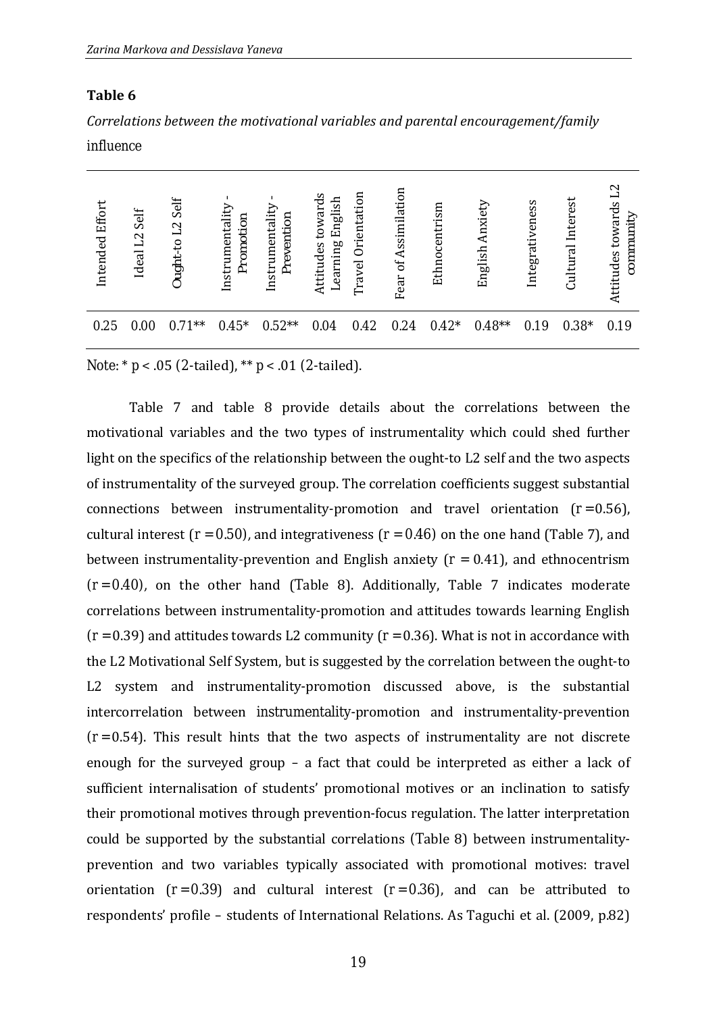#### **Table 6**

| Correlations between the motivational variables and parental encouragement/family |  |
|-----------------------------------------------------------------------------------|--|
| influence                                                                         |  |

| Intended Effor | Self<br>Ideal L <sub>2</sub> | Self<br>Ought-to L2 | Instrumentality<br>Promotion | Instrumentality<br>Prevention | towards<br>English<br>earning<br>Attitudes<br>ᅴ | Orientation<br>Travel | Assimilation<br>Ъ<br>Fear | Ethnocentrism | Anxiet<br>English | Integrativeness | Interest<br>Cultural | $\sim$<br>Attitudes towards<br>community |
|----------------|------------------------------|---------------------|------------------------------|-------------------------------|-------------------------------------------------|-----------------------|---------------------------|---------------|-------------------|-----------------|----------------------|------------------------------------------|
| 0.25           | 0.00                         | $0.71**$            | $0.45*$                      | $0.52**$                      | 0.04                                            | 0.42                  | 0.24                      | $0.42*$       | $0.48**$          | 0.19            | $0.38*$              | 0.19                                     |

*Note:* \* *p* < .05 (2-tailed), \*\* *p* < .01 (2-tailed).

Table 7 and table 8 provide details about the correlations between the motivational variables and the two types of instrumentality which could shed further light on the specifics of the relationship between the ought-to L2 self and the two aspects of instrumentality of the surveyed group. The correlation coefficients suggest substantial connections between instrumentality-promotion and travel orientation  $(r = 0.56)$ , cultural interest ( $r = 0.50$ ), and integrativeness ( $r = 0.46$ ) on the one hand (Table 7), and between instrumentality-prevention and English anxiety (*r* = 0.41), and ethnocentrism  $(r=0.40)$ , on the other hand (Table 8). Additionally, Table 7 indicates moderate correlations between instrumentality-promotion and attitudes towards learning English  $(r = 0.39)$  and attitudes towards L2 community  $(r = 0.36)$ . What is not in accordance with the L2 Motivational Self System, but is suggested by the correlation between the ought-to L2 system and instrumentality-promotion discussed above, is the substantial intercorrelation between instrumentality-promotion and instrumentality-prevention  $(r = 0.54)$ . This result hints that the two aspects of instrumentality are not discrete enough for the surveyed group – a fact that could be interpreted as either a lack of sufficient internalisation of students' promotional motives or an inclination to satisfy their promotional motives through prevention-focus regulation. The latter interpretation could be supported by the substantial correlations (Table 8) between instrumentalityprevention and two variables typically associated with promotional motives: travel orientation  $(r=0.39)$  and cultural interest  $(r=0.36)$ , and can be attributed to respondents' profile – students of International Relations. As Taguchi et al. (2009, p.82)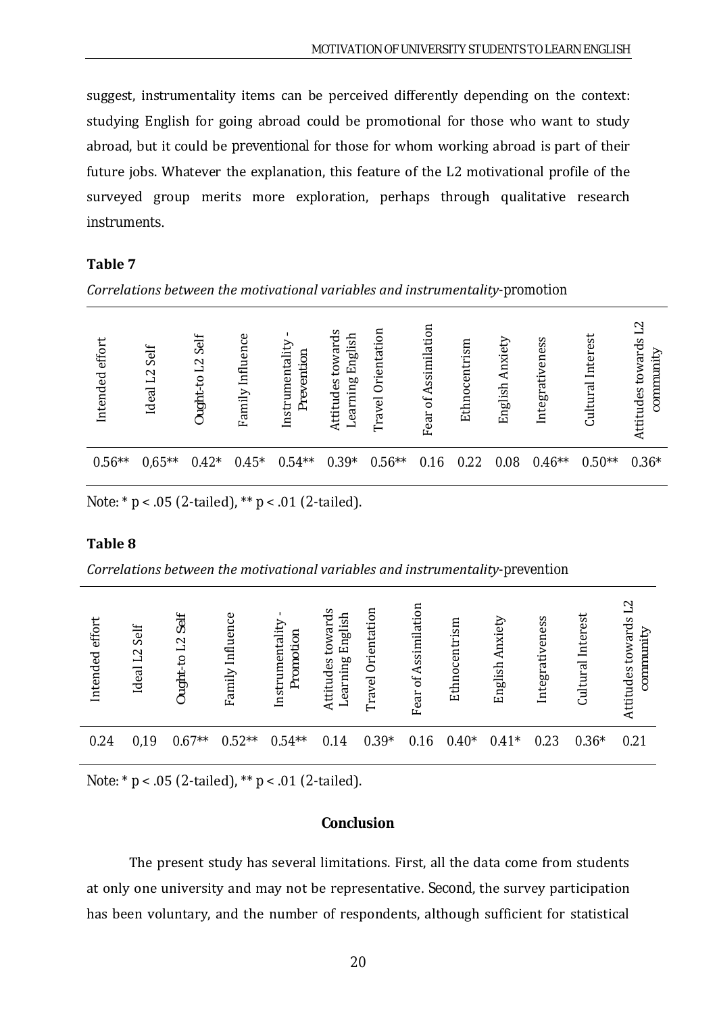suggest, instrumentality items can be perceived differently depending on the context: studying English for going abroad could be promotional for those who want to study abroad, but it could be preventional for those for whom working abroad is part of their future jobs. Whatever the explanation, this feature of the L2 motivational profile of the surveyed group merits more exploration, perhaps through qualitative research instruments.

#### **Table 7**

*Correlations between the motivational variables and instrumentality-promotion*

| effor<br>Intended | Self<br>$\mathbf{L}$<br>Ideal | Sei<br>$\mathbf{z}$<br>−<br>ς,<br>Ought | Infl<br>Family | ention<br>Instrumental<br>Pre | English<br>$\mathbf{\sigma}$<br>towar<br>earning<br>Attitudes | ទ<br>Orientati<br>Travel | Assimilation<br>ðf<br>Fear | Ethnocentrism | ₻<br>Anxi<br>English | Integrativeness | est<br>Ė<br>ಸ<br>Cultur | Ņ<br>ards<br>community<br>ς<br>Attitudes |
|-------------------|-------------------------------|-----------------------------------------|----------------|-------------------------------|---------------------------------------------------------------|--------------------------|----------------------------|---------------|----------------------|-----------------|-------------------------|------------------------------------------|
| $0.56**$          | $0.65***$                     | $0.42*$                                 | $0.45*$        | $0.54**$                      | $0.39*$                                                       | $0.56**$                 | 0.16                       | 0.22          | 0.08                 | $0.46**$        | $0.50**$                | $0.36*$                                  |

*Note:* \* *p* < .05 (2-tailed), \*\* *p* < .01 (2-tailed).

#### **Table 8**

*Correlations between the motivational variables and instrumentality-prevention*

| effort<br>Intended | Self<br>L <sub>2</sub><br>Ideal | Self<br>$\mathbf{\Omega}$<br>━<br>$\overline{c}$<br>Ought. | En<br>Infl <sub>1</sub><br>Family | Instrumentali<br>omotion<br>È | English<br>toward<br>Learning<br>Attitudes | entation<br>Ğ<br>Travel | Assimilation<br>$\sigma$<br>Fear | Ethnocentrism | Φ<br>Anxi<br>English | Integrativeness | est<br>Inter<br>तृत<br>Ĕ | ttitudes towards<br>community |
|--------------------|---------------------------------|------------------------------------------------------------|-----------------------------------|-------------------------------|--------------------------------------------|-------------------------|----------------------------------|---------------|----------------------|-----------------|--------------------------|-------------------------------|
| 0.24               | 0,19                            | $0.67**$                                                   | $0.52**$                          | $0.54**$                      | 0.14                                       | $0.39*$                 | 0.16                             | $0.40*$       | $0.41*$              | 0.23            | $0.36*$                  | 0.21                          |

*Note:* \* *p* < .05 (2-tailed), \*\* *p* < .01 (2-tailed).

### **Conclusion**

The present study has several limitations. First, all the data come from students at only one university and may not be representative. Second, the survey participation has been voluntary, and the number of respondents, although sufficient for statistical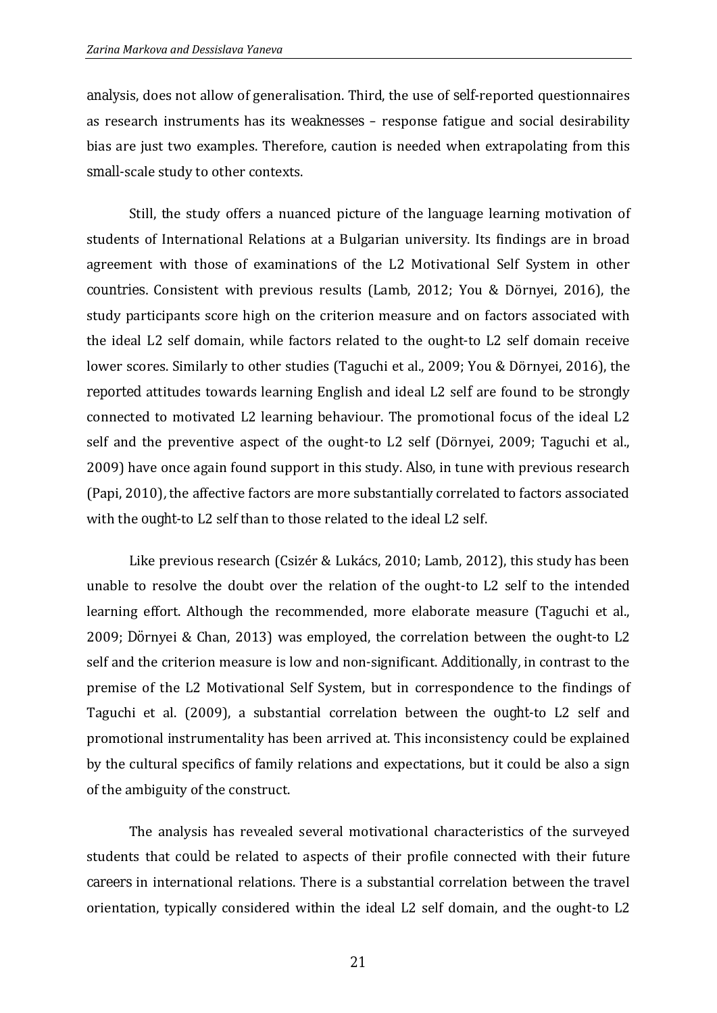analysis, does not allow of generalisation. Third, the use of self-reported questionnaires as research instruments has its weaknesses – response fatigue and social desirability bias are just two examples. Therefore, caution is needed when extrapolating from this small-scale study to other contexts.

Still, the study offers a nuanced picture of the language learning motivation of students of International Relations at a Bulgarian university. Its findings are in broad agreement with those of examinations of the L2 Motivational Self System in other countries. Consistent with previous results (Lamb, 2012; You & Dörnyei, 2016), the study participants score high on the criterion measure and on factors associated with the ideal L2 self domain, while factors related to the ought-to L2 self domain receive lower scores. Similarly to other studies (Taguchi et al., 2009; You & Dörnyei, 2016), the reported attitudes towards learning English and ideal L2 self are found to be strongly connected to motivated L2 learning behaviour. The promotional focus of the ideal L2 self and the preventive aspect of the ought-to L2 self (Dörnyei, 2009; Taguchi et al., 2009) have once again found support in this study. Also, in tune with previous research (Papi, 2010), the affective factors are more substantially correlated to factors associated with the ought-to L2 self than to those related to the ideal L2 self.

Like previous research (Csizér & Lukács, 2010; Lamb, 2012), this study has been unable to resolve the doubt over the relation of the ought-to L2 self to the intended learning effort. Although the recommended, more elaborate measure (Taguchi et al., 2009; Dörnyei & Chan, 2013) was employed, the correlation between the ought-to L2 self and the criterion measure is low and non-significant. Additionally, in contrast to the premise of the L2 Motivational Self System, but in correspondence to the findings of Taguchi et al. (2009), a substantial correlation between the ought-to L2 self and promotional instrumentality has been arrived at. This inconsistency could be explained by the cultural specifics of family relations and expectations, but it could be also a sign of the ambiguity of the construct.

The analysis has revealed several motivational characteristics of the surveyed students that could be related to aspects of their profile connected with their future careers in international relations. There is a substantial correlation between the travel orientation, typically considered within the ideal L2 self domain, and the ought-to L2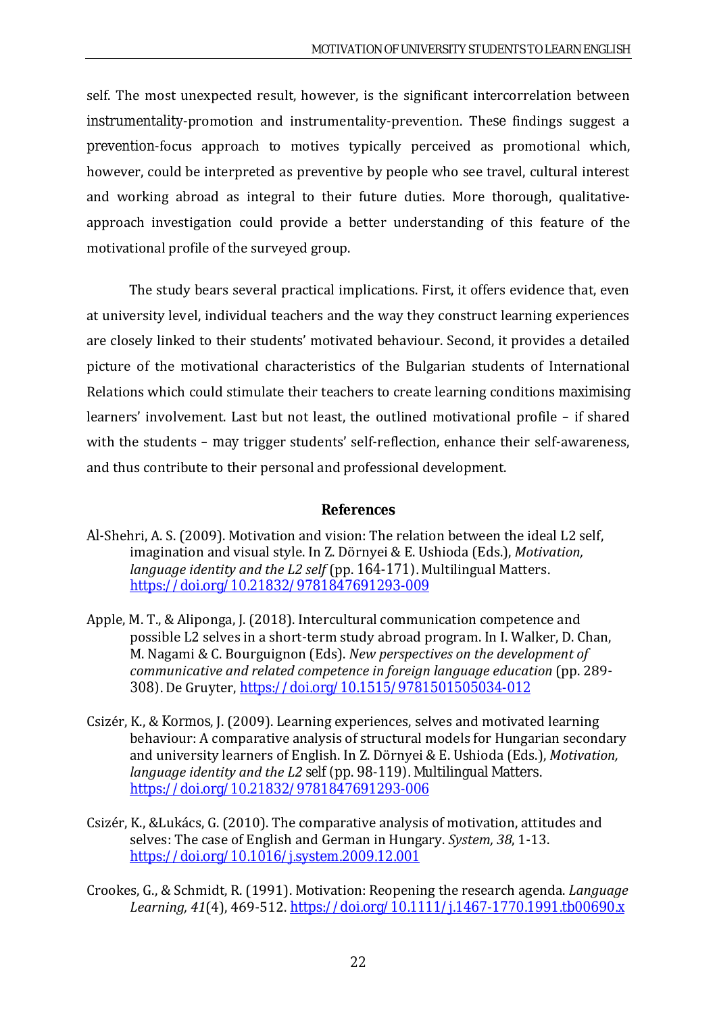self. The most unexpected result, however, is the significant intercorrelation between instrumentality-promotion and instrumentality-prevention. These findings suggest a prevention-focus approach to motives typically perceived as promotional which, however, could be interpreted as preventive by people who see travel, cultural interest and working abroad as integral to their future duties. More thorough, qualitativeapproach investigation could provide a better understanding of this feature of the motivational profile of the surveyed group.

The study bears several practical implications. First, it offers evidence that, even at university level, individual teachers and the way they construct learning experiences are closely linked to their students' motivated behaviour. Second, it provides a detailed picture of the motivational characteristics of the Bulgarian students of International Relations which could stimulate their teachers to create learning conditions maximising learners' involvement. Last but not least, the outlined motivational profile – if shared with the students – may trigger students' self-reflection, enhance their self-awareness, and thus contribute to their personal and professional development.

#### **References**

- Al-Shehri, A. S. (2009). Motivation and vision: The relation between the ideal L2 self, imagination and visual style. In Z. Dörnyei & E. Ushioda (Eds.), *Motivation, language identity and the L2 self* (pp. 164-171). Multilingual Matters. <https://doi.org/10.21832/9781847691293-009>
- Apple, M. T., & Aliponga, J. (2018). Intercultural communication competence and possible L2 selves in a short-term study abroad program. In I. Walker, D. Chan, M. Nagami & C. Bourguignon (Eds). *New perspectives on the development of communicative and related competence in foreign language education* (pp. 289- 308). De Gruyter, <https://doi.org/10.1515/9781501505034-012>
- Csizér, K., & Kormos, J. (2009). Learning experiences, selves and motivated learning behaviour: A comparative analysis of structural models for Hungarian secondary and university learners of English. In Z. Dörnyei & E. Ushioda (Eds.), *Motivation, language identity and the L2 self* (pp. 98-119). Multilingual Matters. <https://doi.org/10.21832/9781847691293-006>
- Csizér, K., &Lukács, G. (2010). The comparative analysis of motivation, attitudes and selves: The case of English and German in Hungary. *System, 38*, 1-13. <https://doi.org/10.1016/j.system.2009.12.001>
- Crookes, G., & Schmidt, R. (1991). Motivation: Reopening the research agenda. *Language Learning, 41*(4), 469-512. <https://doi.org/10.1111/j.1467-1770.1991.tb00690.x>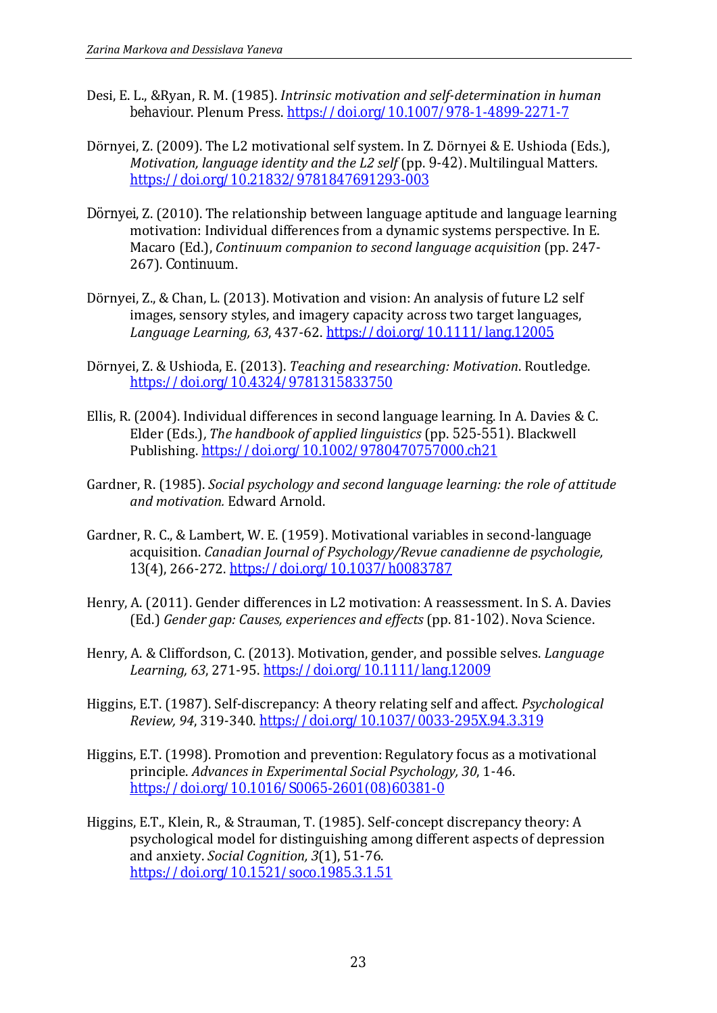- Desi, E. L., &Ryan, R. M. (1985). *Intrinsic motivation and self-determination in human behaviour*. Plenum Press. <https://doi.org/10.1007/978-1-4899-2271-7>
- Dörnyei, Z. (2009). The L2 motivational self system. In Z. Dörnyei & E. Ushioda (Eds.), *Motivation, language identity and the L2 self* (pp. 9-42). Multilingual Matters. <https://doi.org/10.21832/9781847691293-003>
- Dörnyei, Z. (2010). The relationship between language aptitude and language learning motivation: Individual differences from a dynamic systems perspective. In E. Macaro (Ed.), *Continuum companion to second language acquisition* (pp. 247- 267). Continuum.
- Dörnyei, Z., & Chan, L. (2013). Motivation and vision: An analysis of future L2 self images, sensory styles, and imagery capacity across two target languages, *Language Learning, 63*, 437-62. <https://doi.org/10.1111/lang.12005>
- Dörnyei, Z. & Ushioda, E. (2013). *Teaching and researching: Motivation*. Routledge. <https://doi.org/10.4324/9781315833750>
- Ellis, R. (2004). Individual differences in second language learning. In A. Davies & C. Elder (Eds.), *The handbook of applied linguistics* (pp. 525-551). Blackwell Publishing. <https://doi.org/10.1002/9780470757000.ch21>
- Gardner, R. (1985). *Social psychology and second language learning: the role of attitude and motivation.* Edward Arnold.
- Gardner, R. C., & Lambert, W. E. (1959). Motivational variables in second-language acquisition. *Canadian Journal of Psychology/Revue canadienne de psychologie, 13*(4), 266-272. <https://doi.org/10.1037/h0083787>
- Henry, A. (2011). Gender differences in L2 motivation: A reassessment. In S. A. Davies (Ed.) *Gender gap: Causes, experiences and effects* (pp. 81-102). Nova Science.
- Henry, A. & Cliffordson, C. (2013). Motivation, gender, and possible selves. *Language Learning, 63*, 271-95. <https://doi.org/10.1111/lang.12009>
- Higgins, E.T. (1987). Self-discrepancy: A theory relating self and affect. *Psychological Review, 94*, 319-340. <https://doi.org/10.1037/0033-295X.94.3.319>
- Higgins, E.T. (1998). Promotion and prevention: Regulatory focus as a motivational principle. *Advances in Experimental Social Psychology, 30*, 1-46. [https://doi.org/10.1016/S0065-2601\(08\)60381-0](https://doi.org/10.1016/S0065-2601(08)60381-0)
- Higgins, E.T., Klein, R., & Strauman, T. (1985). Self-concept discrepancy theory: A psychological model for distinguishing among different aspects of depression and anxiety. *Social Cognition, 3*(1), 51-76. <https://doi.org/10.1521/soco.1985.3.1.51>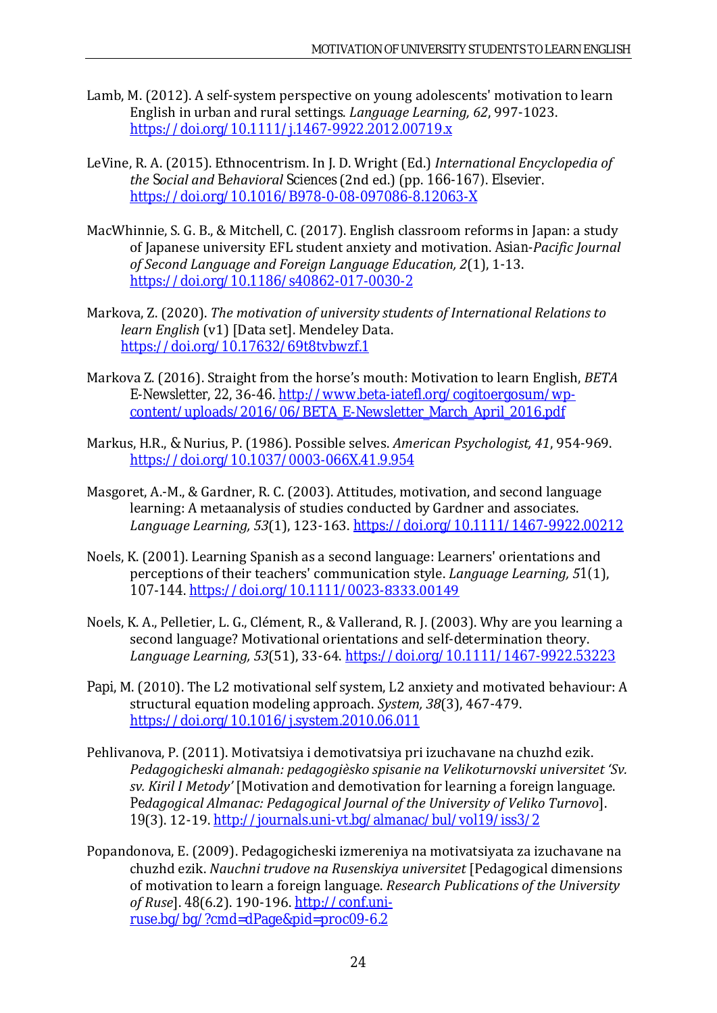- Lamb, M. (2012). A self-system perspective on young adolescents' motivation to learn English in urban and rural settings. *Language Learning, 62*, 997-1023. <https://doi.org/10.1111/j.1467-9922.2012.00719.x>
- LeVine, R. A. (2015). Ethnocentrism. In J. D. Wright (Ed.) *International Encyclopedia of the Social and Behavioral Sciences* (2nd ed.) (pp. 166-167). Elsevier. <https://doi.org/10.1016/B978-0-08-097086-8.12063-X>
- MacWhinnie, S. G. B., & Mitchell, C. (2017). English classroom reforms in Japan: a study of Japanese university EFL student anxiety and motivation. *Asian-Pacific Journal of Second Language and Foreign Language Education, 2*(1), 1-13. <https://doi.org/10.1186/s40862-017-0030-2>
- Markova, Z. (2020). *The motivation of university students of International Relations to learn English* (v1) [Data set]. Mendeley Data. <https://doi.org/10.17632/69t8tvbwzf.1>
- Markova Z. (2016). Straight from the horse's mouth: Motivation to learn English, *BETA E-Newsletter*, *22*, 36-46. [http://www.beta-iatefl.org/cogitoergosum/wp](http://www.beta-iatefl.org/cogitoergosum/wp-content/uploads/2016/06/BETA_E-Newsletter_March_April_2016.pdf)[content/uploads/2016/06/BETA\\_E-Newsletter\\_March\\_April\\_2016.pdf](http://www.beta-iatefl.org/cogitoergosum/wp-content/uploads/2016/06/BETA_E-Newsletter_March_April_2016.pdf)
- Markus, H.R., & Nurius, P. (1986). Possible selves. *American Psychologist, 41*, 954-969. <https://doi.org/10.1037/0003-066X.41.9.954>
- Masgoret, A.-M., & Gardner, R. C. (2003). Attitudes, motivation, and second language learning: A metaanalysis of studies conducted by Gardner and associates. *Language Learning, 53*(1), 123-163. <https://doi.org/10.1111/1467-9922.00212>
- Noels, K. (2001). Learning Spanish as a second language: Learners' orientations and perceptions of their teachers' communication style. *Language Learning, 51*(1), 107-144. [https://doi.org/10.1111/0023-](https://doi.org/10.1111/0023-8333.00149)8333.00149
- Noels, K. A., Pelletier, L. G., Clément, R., & Vallerand, R. J. (2003). Why are you learning a second language? Motivational orientations and self-determination theory. *Language Learning, 53*(51), 33-64. <https://doi.org/10.1111/1467-9922.53223>
- Papi, M. (2010). The L2 motivational self system, L2 anxiety and motivated behaviour: A structural equation modeling approach. *System, 38*(3), 467-479. <https://doi.org/10.1016/j.system.2010.06.011>
- Pehlivanova, P. (2011). Motivatsiya i demotivatsiya pri izuchavane na chuzhd ezik. *Pedagogicheski almanah: pedagogièsko spisanie na Velikoturnovski universitet 'Sv. sv. Kiril I Metody'* [Motivation and demotivation for learning a foreign language. *Pedagogical Almanac: Pedagogical Journal of the University of Veliko Turnovo*]. *19*(3). 12-19. <http://journals.uni-vt.bg/almanac/bul/vol19/iss3/2>
- Popandonova, E. (2009). Pedagogicheski izmereniya na motivatsiyata za izuchavane na chuzhd ezik. *Nauchni trudove na Rusenskiya universitet* [Pedagogical dimensions of motivation to learn a foreign language. *Research Publications of the University of Ruse*]. *48*(6.2). 190-196. [http://conf.uni](http://conf.uni-ruse.bg/bg/?cmd=dPage&pid=proc09-6.2)[ruse.bg/bg/?cmd=dPage&pid=proc09-6.2](http://conf.uni-ruse.bg/bg/?cmd=dPage&pid=proc09-6.2)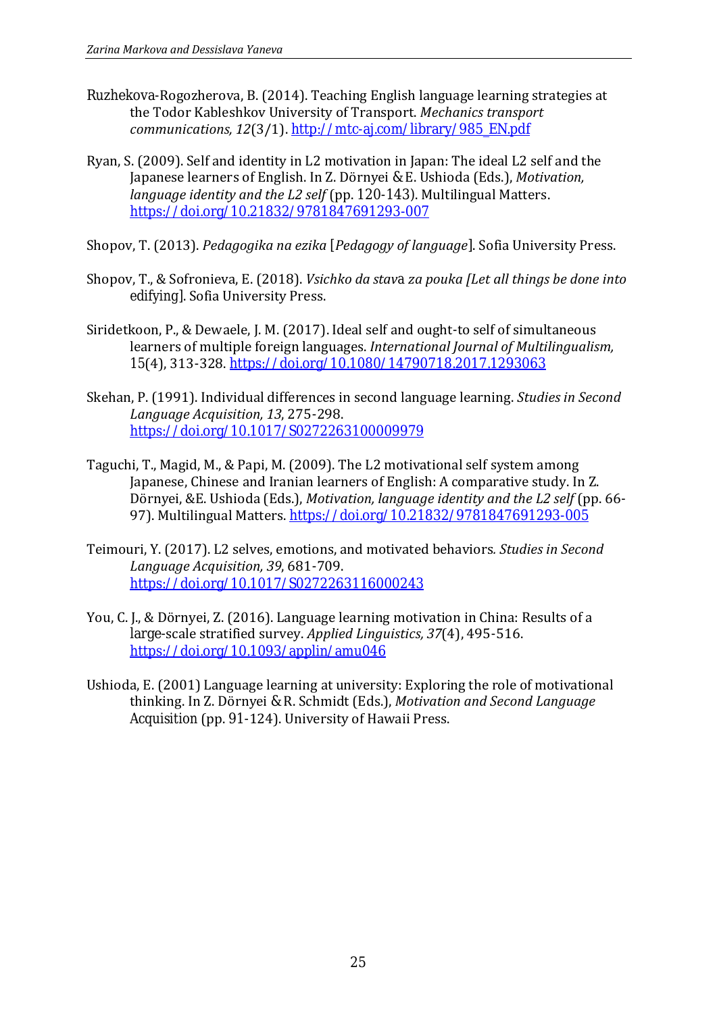- Ruzhekova-Rogozherova, B. (2014). Teaching English language learning strategies at the Todor Kableshkov University of Transport. *Mechanics transport communications, 12*(3/1). [http://mtc-aj.com/library/985\\_EN.pdf](http://mtc-aj.com/library/985_EN.pdf)
- Ryan, S. (2009). Self and identity in L2 motivation in Japan: The ideal L2 self and the Japanese learners of English. In Z. Dörnyei & E. Ushioda (Eds.), *Motivation, language identity and the L2 self* (pp. 120-143). Multilingual Matters. <https://doi.org/10.21832/9781847691293-007>
- Shopov, T. (2013). *Pedagogika na ezika* [*Pedagogy of language*]. Sofia University Press.
- Shopov, T., & Sofronieva, E. (2018). *Vsichko da stava za pouka [Let all things be done into edifying]*. Sofia University Press.
- Siridetkoon, P., & Dewaele, J. M. (2017). Ideal self and ought-to self of simultaneous learners of multiple foreign languages. *International Journal of Multilingualism, 15*(4), 313-328. <https://doi.org/10.1080/14790718.2017.1293063>
- Skehan, P. (1991). Individual differences in second language learning. *Studies in Second Language Acquisition, 13*, 275-298. <https://doi.org/10.1017/S0272263100009979>
- Taguchi, T., Magid, M., & Papi, M. (2009). The L2 motivational self system among Japanese, Chinese and Iranian learners of English: A comparative study. In Z. Dörnyei, &E. Ushioda (Eds.), *Motivation, language identity and the L2 self* (pp. 66- 97). Multilingual Matters. <https://doi.org/10.21832/9781847691293-005>
- Teimouri, Y. (2017). L2 selves, emotions, and motivated behaviors*. Studies in Second Language Acquisition, 39*, 681-709. <https://doi.org/10.1017/S0272263116000243>
- You, C. J., & Dörnyei, Z. (2016). Language learning motivation in China: Results of a large-scale stratified survey. *Applied Linguistics, 37*(4), 495-516. <https://doi.org/10.1093/applin/amu046>
- Ushioda, E. (2001) Language learning at university: Exploring the role of motivational thinking. In Z. Dörnyei & R. Schmidt (Eds.), *Motivation and Second Language Acquisition* (pp. 91-124). University of Hawaii Press.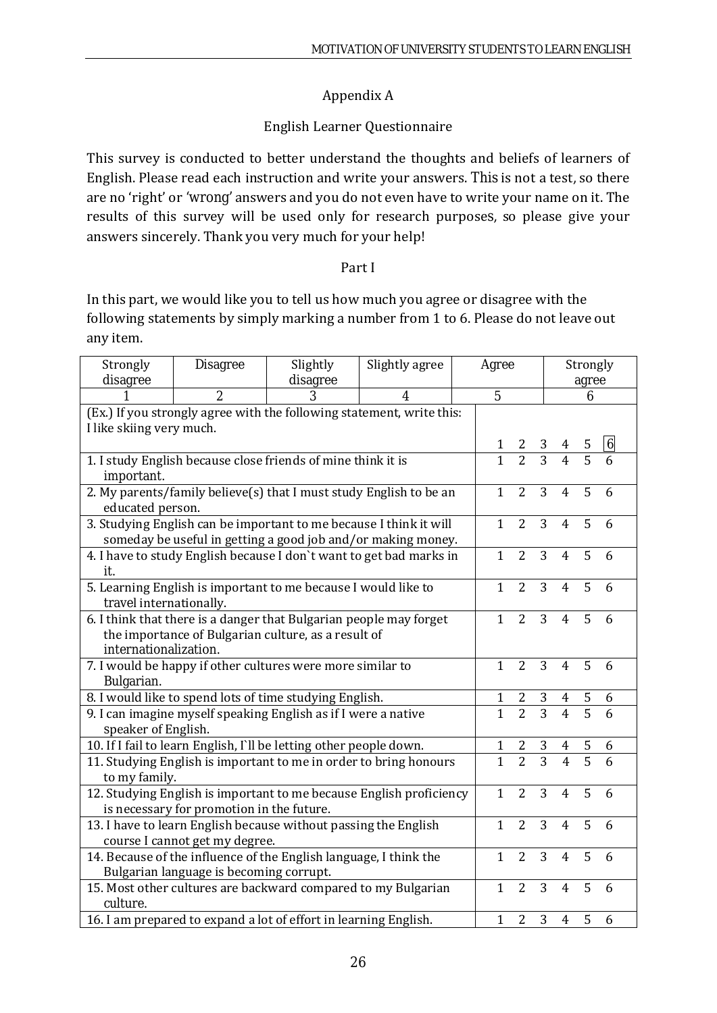# Appendix A

# English Learner Questionnaire

This survey is conducted to better understand the thoughts and beliefs of learners of English. Please read each instruction and write your answers. This is not a test, so there are no 'right' or 'wrong' answers and you do not even have to write your name on it. The results of this survey will be used only for research purposes, so please give your answers sincerely. Thank you very much for your help!

## Part I

In this part, we would like you to tell us how much you agree or disagree with the following statements by simply marking a number from 1 to 6. Please do not leave out any item.

| Strongly                                                           | <b>Disagree</b>                                                                                                                    | Agree                                                              |                                                                       |                | Strongly       |                |                |                |                  |
|--------------------------------------------------------------------|------------------------------------------------------------------------------------------------------------------------------------|--------------------------------------------------------------------|-----------------------------------------------------------------------|----------------|----------------|----------------|----------------|----------------|------------------|
| disagree                                                           |                                                                                                                                    | disagree                                                           |                                                                       |                |                |                |                | agree          |                  |
|                                                                    | $\overline{2}$                                                                                                                     | 3                                                                  | 4                                                                     | $\overline{5}$ |                |                |                | 6              |                  |
| I like skiing very much.                                           |                                                                                                                                    |                                                                    | (Ex.) If you strongly agree with the following statement, write this: |                |                |                |                |                |                  |
|                                                                    |                                                                                                                                    |                                                                    |                                                                       | $\mathbf{1}$   | 2              | 3              |                | 5              | $\boldsymbol{6}$ |
| important.                                                         |                                                                                                                                    | 1. I study English because close friends of mine think it is       |                                                                       | $\mathbf{1}$   | $\overline{2}$ | $\overline{3}$ | $\overline{4}$ | $\overline{5}$ |                  |
| 2. My parents/family believe(s) that I must study English to be an | $\mathbf{1}$                                                                                                                       | $\overline{2}$                                                     | 3                                                                     | $\overline{4}$ | 5              | 6              |                |                |                  |
| educated person.                                                   |                                                                                                                                    |                                                                    |                                                                       |                |                |                |                |                |                  |
|                                                                    | 3. Studying English can be important to me because I think it will<br>someday be useful in getting a good job and/or making money. | $\mathbf{1}$                                                       | $\overline{2}$                                                        | 3              | $\overline{4}$ | 5              | 6              |                |                  |
|                                                                    |                                                                                                                                    |                                                                    | 4. I have to study English because I don't want to get bad marks in   | $\mathbf{1}$   | $\overline{2}$ | 3              | $\overline{4}$ | 5              | 6                |
| it.                                                                |                                                                                                                                    |                                                                    |                                                                       |                |                |                |                |                |                  |
|                                                                    |                                                                                                                                    | 5. Learning English is important to me because I would like to     |                                                                       | $\mathbf{1}$   | $\overline{2}$ | 3              | $\overline{4}$ | 5              | 6                |
| travel internationally.                                            |                                                                                                                                    |                                                                    |                                                                       |                |                |                |                |                |                  |
|                                                                    |                                                                                                                                    | 6. I think that there is a danger that Bulgarian people may forget |                                                                       | $\mathbf{1}$   | $\overline{2}$ | 3              | $\overline{4}$ | 5              | 6                |
|                                                                    |                                                                                                                                    | the importance of Bulgarian culture, as a result of                |                                                                       |                |                |                |                |                |                  |
| internationalization.                                              |                                                                                                                                    |                                                                    |                                                                       |                |                |                |                |                |                  |
| Bulgarian.                                                         |                                                                                                                                    | 7. I would be happy if other cultures were more similar to         |                                                                       | $\mathbf{1}$   | $\overline{2}$ | 3              | $\overline{4}$ | 5              | 6                |
|                                                                    |                                                                                                                                    | 8. I would like to spend lots of time studying English.            |                                                                       | $\mathbf{1}$   | $\mathbf{2}$   | 3              | $\overline{4}$ | 5              | 6                |
|                                                                    |                                                                                                                                    | 9. I can imagine myself speaking English as if I were a native     |                                                                       | $\overline{1}$ | $\overline{2}$ | $\overline{3}$ | $\overline{4}$ | $\overline{5}$ |                  |
| speaker of English.                                                |                                                                                                                                    |                                                                    |                                                                       |                |                |                |                |                |                  |
|                                                                    |                                                                                                                                    | 10. If I fail to learn English, I'll be letting other people down. |                                                                       | $\mathbf{1}$   | $\frac{2}{2}$  | $\frac{3}{3}$  | 4              | $rac{5}{5}$    | 6                |
|                                                                    |                                                                                                                                    |                                                                    | 11. Studying English is important to me in order to bring honours     | $\overline{1}$ |                |                | $\overline{4}$ |                |                  |
| to my family.                                                      |                                                                                                                                    |                                                                    |                                                                       |                |                |                |                |                |                  |
|                                                                    |                                                                                                                                    |                                                                    | 12. Studying English is important to me because English proficiency   | $\mathbf{1}$   | $\overline{2}$ | 3              | $\overline{4}$ | 5              | 6                |
|                                                                    | is necessary for promotion in the future.                                                                                          |                                                                    |                                                                       |                |                |                |                |                |                  |
|                                                                    |                                                                                                                                    | 13. I have to learn English because without passing the English    |                                                                       | $\mathbf{1}$   | $\overline{2}$ | 3              | $\overline{4}$ | 5              | 6                |
| course I cannot get my degree.                                     |                                                                                                                                    |                                                                    |                                                                       |                |                |                |                |                |                  |
|                                                                    |                                                                                                                                    | 14. Because of the influence of the English language, I think the  |                                                                       | $\mathbf{1}$   | $\overline{2}$ | 3              | $\overline{4}$ | 5              | 6                |
|                                                                    | Bulgarian language is becoming corrupt.                                                                                            |                                                                    |                                                                       |                |                |                |                |                |                  |
| culture.                                                           |                                                                                                                                    |                                                                    | 15. Most other cultures are backward compared to my Bulgarian         | $\mathbf{1}$   | $\overline{2}$ | 3              | $\overline{4}$ | 5              | 6                |
|                                                                    |                                                                                                                                    | 16. I am prepared to expand a lot of effort in learning English.   |                                                                       | $\mathbf{1}$   | $\overline{2}$ | 3              | $\overline{4}$ | 5              | 6                |
|                                                                    |                                                                                                                                    |                                                                    |                                                                       |                |                |                |                |                |                  |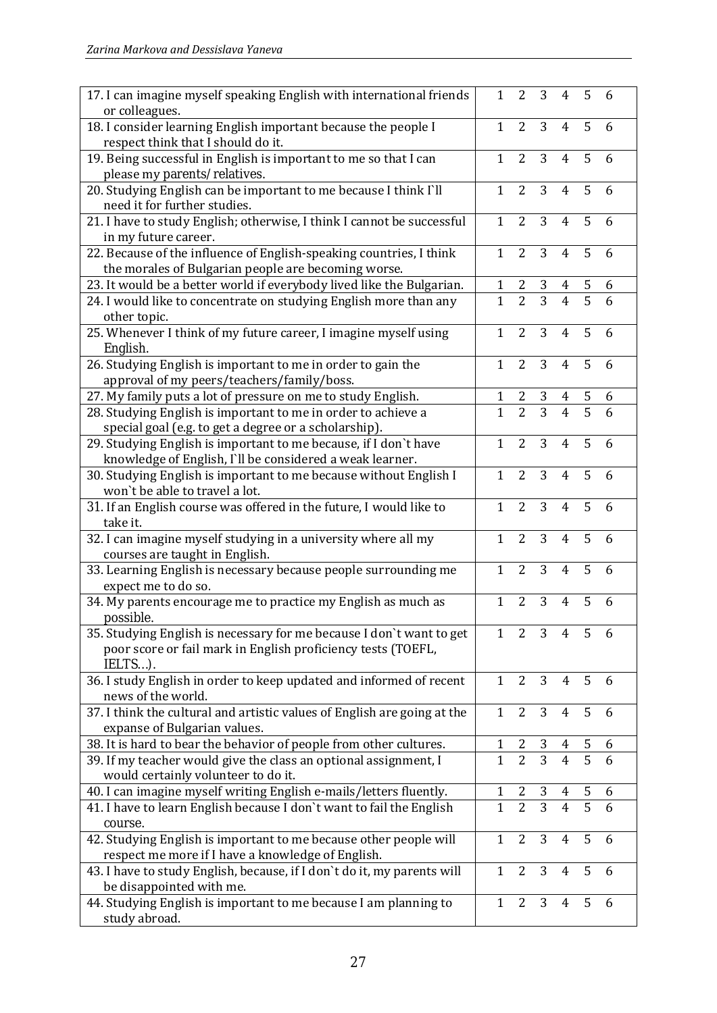| 17. I can imagine myself speaking English with international friends<br>or colleagues.              | $\mathbf{1}$   | $\overline{2}$ | 3              | $\overline{4}$ | 5              | 6              |
|-----------------------------------------------------------------------------------------------------|----------------|----------------|----------------|----------------|----------------|----------------|
| 18. I consider learning English important because the people I                                      | $\mathbf{1}$   | $\overline{2}$ | $\overline{3}$ | $\overline{4}$ | 5              | 6              |
| respect think that I should do it.                                                                  |                |                |                |                |                |                |
| 19. Being successful in English is important to me so that I can<br>please my parents/relatives.    | $\mathbf{1}$   | $\overline{2}$ | 3              | $\overline{4}$ | 5              | 6              |
| 20. Studying English can be important to me because I think I'll<br>need it for further studies.    | $\mathbf{1}$   | $\overline{2}$ | $\overline{3}$ | $\overline{4}$ | 5              | 6              |
| 21. I have to study English; otherwise, I think I cannot be successful                              | $\mathbf{1}$   | $\overline{2}$ | 3              | $\overline{4}$ | 5              | 6              |
| in my future career.                                                                                |                |                |                |                |                |                |
| 22. Because of the influence of English-speaking countries, I think                                 | $\mathbf{1}$   | $\overline{2}$ | 3              | 4              | 5              | 6              |
| the morales of Bulgarian people are becoming worse.                                                 |                |                |                |                |                |                |
| 23. It would be a better world if everybody lived like the Bulgarian.                               | $\mathbf{1}$   |                |                |                |                | 6              |
| 24. I would like to concentrate on studying English more than any                                   | $\overline{1}$ | $\frac{2}{2}$  | $\frac{3}{3}$  | $\frac{4}{4}$  | $\frac{5}{5}$  | $\overline{6}$ |
| other topic.                                                                                        |                |                |                |                |                |                |
| 25. Whenever I think of my future career, I imagine myself using<br>English.                        | $\mathbf{1}$   | $\overline{2}$ | 3              | $\overline{4}$ | 5              | 6              |
| 26. Studying English is important to me in order to gain the                                        | $\mathbf{1}$   | $\overline{2}$ | 3              | $\overline{4}$ | 5              | 6              |
| approval of my peers/teachers/family/boss.                                                          |                |                |                |                |                |                |
| 27. My family puts a lot of pressure on me to study English.                                        | 1              | 2              | $\mathbf{3}$   | $\overline{4}$ | 5              | 6              |
| 28. Studying English is important to me in order to achieve a                                       | $\mathbf{1}$   | $\overline{2}$ | $\overline{3}$ | $\overline{4}$ | $\overline{5}$ | 6              |
| special goal (e.g. to get a degree or a scholarship).                                               |                |                |                |                |                |                |
| 29. Studying English is important to me because, if I don't have                                    | $\mathbf{1}$   | $\overline{2}$ | 3              | $\overline{4}$ | 5              | 6              |
| knowledge of English, I'll be considered a weak learner.                                            | $\mathbf{1}$   | $\overline{2}$ | 3              | $\overline{4}$ | 5              | 6              |
| 30. Studying English is important to me because without English I<br>won't be able to travel a lot. |                |                |                |                |                |                |
| 31. If an English course was offered in the future, I would like to                                 | $\mathbf{1}$   | $\overline{2}$ | 3              | $\overline{4}$ | 5              | 6              |
| take it.                                                                                            |                |                |                |                |                |                |
| 32. I can imagine myself studying in a university where all my                                      | $\mathbf{1}$   | $\overline{2}$ | 3              | $\overline{4}$ | 5              | 6              |
| courses are taught in English.                                                                      |                |                |                |                |                |                |
| 33. Learning English is necessary because people surrounding me                                     | $\mathbf{1}$   | $\overline{2}$ | 3              | $\overline{4}$ | 5              | 6              |
| expect me to do so.                                                                                 |                |                |                |                |                |                |
| 34. My parents encourage me to practice my English as much as<br>possible.                          | $\mathbf{1}$   | $\overline{2}$ | 3              | 4              | 5              | 6              |
| 35. Studying English is necessary for me because I don't want to get                                | $\mathbf{1}$   | $\overline{2}$ | 3              | $\overline{4}$ | 5              | 6              |
| poor score or fail mark in English proficiency tests (TOEFL,<br>IELTS).                             |                |                |                |                |                |                |
| 36. I study English in order to keep updated and informed of recent                                 | $\mathbf{1}$   | 2              | 3              | $\overline{4}$ | 5              | 6              |
| news of the world.                                                                                  |                |                |                |                |                |                |
| 37. I think the cultural and artistic values of English are going at the                            | $\mathbf{1}$   | $\overline{2}$ | 3              | $\overline{4}$ | 5              | 6              |
| expanse of Bulgarian values.                                                                        |                |                |                |                |                |                |
| 38. It is hard to bear the behavior of people from other cultures.                                  | $\mathbf{1}$   | $\overline{2}$ | 3              | $\overline{4}$ | 5              | 6              |
| 39. If my teacher would give the class an optional assignment, I                                    | $\mathbf{1}$   | $\overline{2}$ | $\overline{3}$ | $\overline{4}$ | $\overline{5}$ | 6              |
| would certainly volunteer to do it.                                                                 |                |                |                |                |                |                |
| 40. I can imagine myself writing English e-mails/letters fluently.                                  | 1              | 2              | 3              | 4              | 5              | 6              |
| 41. I have to learn English because I don't want to fail the English<br>course.                     | $\overline{1}$ | $\overline{2}$ | $\overline{3}$ | $\overline{4}$ | $\overline{5}$ | 6              |
| 42. Studying English is important to me because other people will                                   | $\mathbf{1}$   | $\overline{2}$ | 3              | $\overline{4}$ | 5              | 6              |
| respect me more if I have a knowledge of English.                                                   |                |                |                |                |                |                |
| 43. I have to study English, because, if I don't do it, my parents will                             | $\mathbf{1}$   | $\overline{2}$ | 3              | $\overline{4}$ | 5              | 6              |
| be disappointed with me.                                                                            |                |                |                |                |                |                |
| 44. Studying English is important to me because I am planning to                                    | $\mathbf{1}$   | $\overline{2}$ | 3              | 4              | 5              | 6              |
| study abroad.                                                                                       |                |                |                |                |                |                |